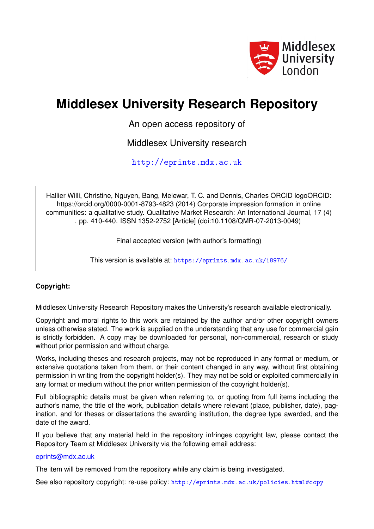

# **Middlesex University Research Repository**

An open access repository of

Middlesex University research

<http://eprints.mdx.ac.uk>

Hallier Willi, Christine, Nguyen, Bang, Melewar, T. C. and Dennis, Charles ORCID logoORCID: https://orcid.org/0000-0001-8793-4823 (2014) Corporate impression formation in online communities: a qualitative study. Qualitative Market Research: An International Journal, 17 (4) . pp. 410-440. ISSN 1352-2752 [Article] (doi:10.1108/QMR-07-2013-0049)

Final accepted version (with author's formatting)

This version is available at: <https://eprints.mdx.ac.uk/18976/>

## **Copyright:**

Middlesex University Research Repository makes the University's research available electronically.

Copyright and moral rights to this work are retained by the author and/or other copyright owners unless otherwise stated. The work is supplied on the understanding that any use for commercial gain is strictly forbidden. A copy may be downloaded for personal, non-commercial, research or study without prior permission and without charge.

Works, including theses and research projects, may not be reproduced in any format or medium, or extensive quotations taken from them, or their content changed in any way, without first obtaining permission in writing from the copyright holder(s). They may not be sold or exploited commercially in any format or medium without the prior written permission of the copyright holder(s).

Full bibliographic details must be given when referring to, or quoting from full items including the author's name, the title of the work, publication details where relevant (place, publisher, date), pagination, and for theses or dissertations the awarding institution, the degree type awarded, and the date of the award.

If you believe that any material held in the repository infringes copyright law, please contact the Repository Team at Middlesex University via the following email address:

#### [eprints@mdx.ac.uk](mailto:eprints@mdx.ac.uk)

The item will be removed from the repository while any claim is being investigated.

See also repository copyright: re-use policy: <http://eprints.mdx.ac.uk/policies.html#copy>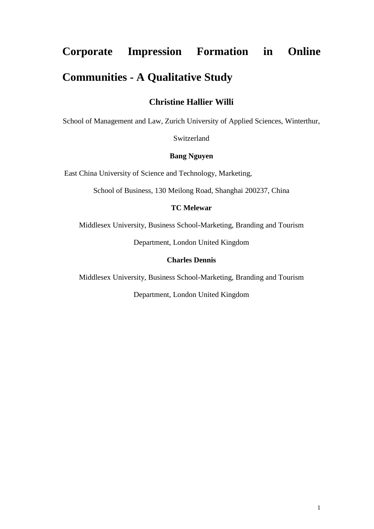## **Corporate Impression Formation in Online**

## **Communities - A Qualitative Study**

## **Christine Hallier Willi**

School of Management and Law, Zurich University of Applied Sciences, Winterthur,

Switzerland

#### **Bang Nguyen**

East China University of Science and Technology, Marketing,

School of Business, 130 Meilong Road, Shanghai 200237, China

#### **TC Melewar**

Middlesex University, Business School-Marketing, Branding and Tourism

Department, London United Kingdom

#### **Charles Dennis**

Middlesex University, Business School-Marketing, Branding and Tourism

Department, London United Kingdom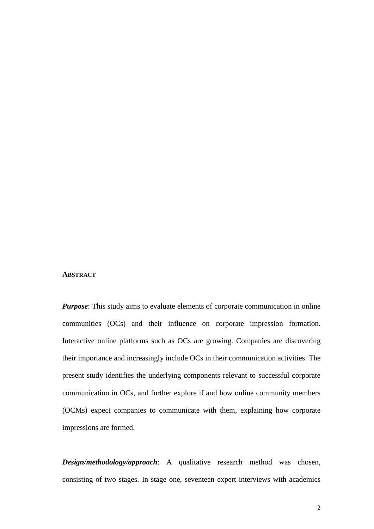#### **ABSTRACT**

*Purpose*: This study aims to evaluate elements of corporate communication in online communities (OCs) and their influence on corporate impression formation. Interactive online platforms such as OCs are growing. Companies are discovering their importance and increasingly include OCs in their communication activities. The present study identifies the underlying components relevant to successful corporate communication in OCs, and further explore if and how online community members (OCMs) expect companies to communicate with them, explaining how corporate impressions are formed.

*Design/methodology/approach*: A qualitative research method was chosen, consisting of two stages. In stage one, seventeen expert interviews with academics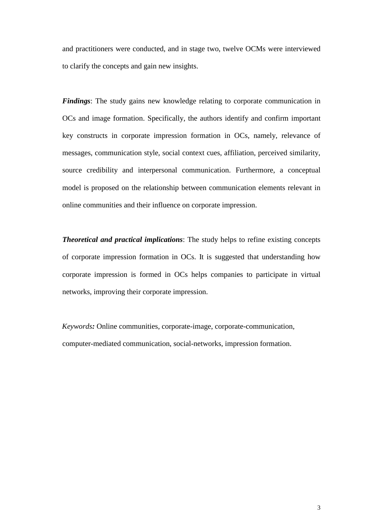and practitioners were conducted, and in stage two, twelve OCMs were interviewed to clarify the concepts and gain new insights.

*Findings*: The study gains new knowledge relating to corporate communication in OCs and image formation. Specifically, the authors identify and confirm important key constructs in corporate impression formation in OCs, namely, relevance of messages, communication style, social context cues, affiliation, perceived similarity, source credibility and interpersonal communication. Furthermore, a conceptual model is proposed on the relationship between communication elements relevant in online communities and their influence on corporate impression.

*Theoretical and practical implications*: The study helps to refine existing concepts of corporate impression formation in OCs. It is suggested that understanding how corporate impression is formed in OCs helps companies to participate in virtual networks, improving their corporate impression.

*Keywords:* Online communities, corporate-image, corporate-communication, computer-mediated communication, social-networks, impression formation.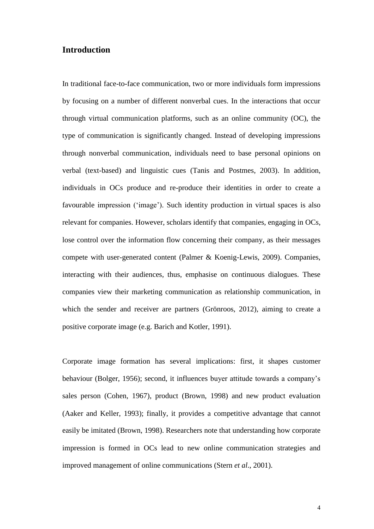#### **Introduction**

In traditional face-to-face communication, two or more individuals form impressions by focusing on a number of different nonverbal cues. In the interactions that occur through virtual communication platforms, such as an online community (OC), the type of communication is significantly changed. Instead of developing impressions through nonverbal communication, individuals need to base personal opinions on verbal (text-based) and linguistic cues (Tanis and Postmes, 2003). In addition, individuals in OCs produce and re-produce their identities in order to create a favourable impression ('image'). Such identity production in virtual spaces is also relevant for companies. However, scholars identify that companies, engaging in OCs, lose control over the information flow concerning their company, as their messages compete with user-generated content (Palmer & Koenig-Lewis, 2009). Companies, interacting with their audiences, thus, emphasise on continuous dialogues. These companies view their marketing communication as relationship communication, in which the sender and receiver are partners (Grönroos, 2012), aiming to create a positive corporate image (e.g. Barich and Kotler, 1991).

Corporate image formation has several implications: first, it shapes customer behaviour (Bolger, 1956); second, it influences buyer attitude towards a company's sales person (Cohen, 1967), product (Brown, 1998) and new product evaluation (Aaker and Keller, 1993); finally, it provides a competitive advantage that cannot easily be imitated (Brown, 1998). Researchers note that understanding how corporate impression is formed in OCs lead to new online communication strategies and improved management of online communications (Stern *et al*., 2001).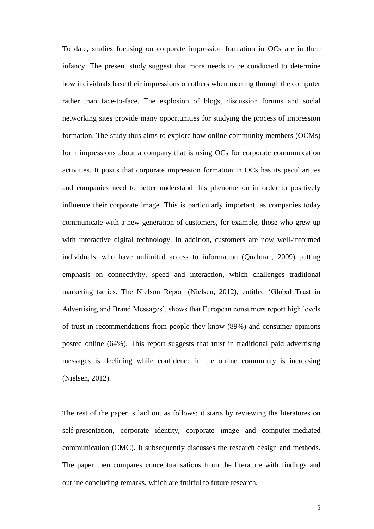To date, studies focusing on corporate impression formation in OCs are in their infancy. The present study suggest that more needs to be conducted to determine how individuals base their impressions on others when meeting through the computer rather than face-to-face. The explosion of blogs, discussion forums and social networking sites provide many opportunities for studying the process of impression formation. The study thus aims to explore how online community members (OCMs) form impressions about a company that is using OCs for corporate communication activities. It posits that corporate impression formation in OCs has its peculiarities and companies need to better understand this phenomenon in order to positively influence their corporate image. This is particularly important, as companies today communicate with a new generation of customers, for example, those who grew up with interactive digital technology. In addition, customers are now well-informed individuals, who have unlimited access to information (Qualman, 2009) putting emphasis on connectivity, speed and interaction, which challenges traditional marketing tactics. The Nielson Report (Nielsen, 2012), entitled 'Global Trust in Advertising and Brand Messages', shows that European consumers report high levels of trust in recommendations from people they know (89%) and consumer opinions posted online (64%). This report suggests that trust in traditional paid advertising messages is declining while confidence in the online community is increasing (Nielsen, 2012).

The rest of the paper is laid out as follows: it starts by reviewing the literatures on self-presentation, corporate identity, corporate image and computer-mediated communication (CMC). It subsequently discusses the research design and methods. The paper then compares conceptualisations from the literature with findings and outline concluding remarks, which are fruitful to future research.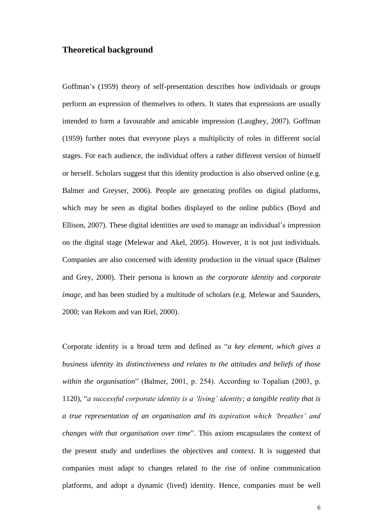## **Theoretical background**

Goffman's (1959) theory of self-presentation describes how individuals or groups perform an expression of themselves to others. It states that expressions are usually intended to form a favourable and amicable impression (Laughey, 2007). Goffman (1959) further notes that everyone plays a multiplicity of roles in different social stages. For each audience, the individual offers a rather different version of himself or herself. Scholars suggest that this identity production is also observed online (e.g. Balmer and Greyser, 2006). People are generating profiles on digital platforms, which may be seen as digital bodies displayed to the online publics (Boyd and Ellison, 2007). These digital identities are used to manage an individual's impression on the digital stage (Melewar and Akel, 2005). However, it is not just individuals. Companies are also concerned with identity production in the virtual space (Balmer and Grey, 2000). Their persona is known as *the corporate identity* and *corporate image,* and has been studied by a multitude of scholars (e.g. Melewar and Saunders, 2000; van Rekom and van Riel, 2000).

Corporate identity is a broad term and defined as "*a key element, which gives a business identity its distinctiveness and relates to the attitudes and beliefs of those within the organisation*" (Balmer, 2001, p. 254). According to Topalian (2003, p. 1120), "*a successful corporate identity is a 'living' identity; a tangible reality that is a true representation of an organisation and its aspiration which 'breathes' and changes with that organisation over time*". This axiom encapsulates the context of the present study and underlines the objectives and context. It is suggested that companies must adapt to changes related to the rise of online communication platforms, and adopt a dynamic (lived) identity. Hence, companies must be well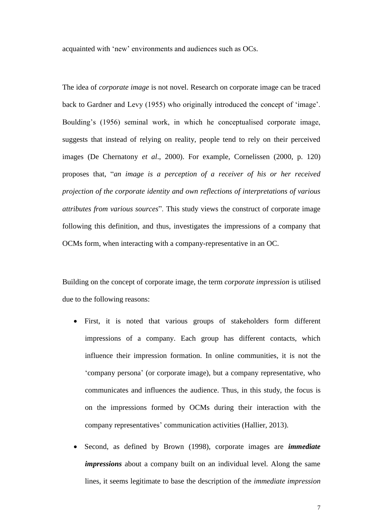acquainted with 'new' environments and audiences such as OCs.

The idea of *corporate image* is not novel. Research on corporate image can be traced back to Gardner and Levy (1955) who originally introduced the concept of 'image'. Boulding's (1956) seminal work, in which he conceptualised corporate image, suggests that instead of relying on reality, people tend to rely on their perceived images (De Chernatony *et al*., 2000). For example, Cornelissen (2000, p. 120) proposes that, "*an image is a perception of a receiver of his or her received projection of the corporate identity and own reflections of interpretations of various attributes from various sources*". This study views the construct of corporate image following this definition, and thus, investigates the impressions of a company that OCMs form, when interacting with a company-representative in an OC.

Building on the concept of corporate image, the term *corporate impression* is utilised due to the following reasons:

- First, it is noted that various groups of stakeholders form different impressions of a company. Each group has different contacts, which influence their impression formation. In online communities, it is not the 'company persona' (or corporate image), but a company representative, who communicates and influences the audience. Thus, in this study, the focus is on the impressions formed by OCMs during their interaction with the company representatives' communication activities (Hallier, 2013).
- Second, as defined by Brown (1998), corporate images are *immediate impressions* about a company built on an individual level. Along the same lines, it seems legitimate to base the description of the *immediate impression*

7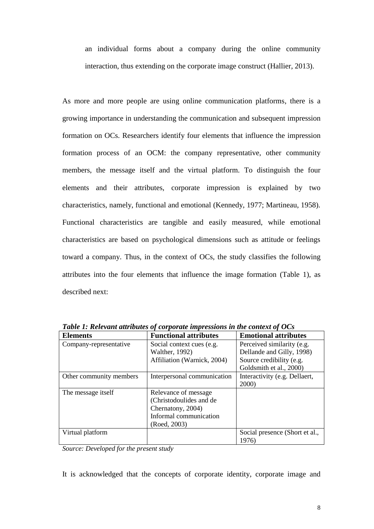an individual forms about a company during the online community interaction, thus extending on the corporate image construct (Hallier, 2013).

As more and more people are using online communication platforms, there is a growing importance in understanding the communication and subsequent impression formation on OCs. Researchers identify four elements that influence the impression formation process of an OCM: the company representative, other community members, the message itself and the virtual platform. To distinguish the four elements and their attributes, corporate impression is explained by two characteristics, namely, functional and emotional (Kennedy, 1977; Martineau, 1958). Functional characteristics are tangible and easily measured, while emotional characteristics are based on psychological dimensions such as attitude or feelings toward a company. Thus, in the context of OCs, the study classifies the following attributes into the four elements that influence the image formation (Table 1), as described next:

| <b>Elements</b>         | <b>Functional attributes</b> | <b>Emotional attributes</b>    |
|-------------------------|------------------------------|--------------------------------|
| Company-representative  | Social context cues (e.g.    | Perceived similarity (e.g.     |
|                         | Walther, 1992)               | Dellande and Gilly, 1998)      |
|                         | Affiliation (Warnick, 2004)  | Source credibility (e.g.       |
|                         |                              | Goldsmith et al., 2000)        |
| Other community members | Interpersonal communication  | Interactivity (e.g. Dellaert,  |
|                         |                              | 2000)                          |
| The message itself      | Relevance of message         |                                |
|                         | (Christodoulides and de      |                                |
|                         | Chernatony, 2004)            |                                |
|                         | Informal communication       |                                |
|                         | (Roed, 2003)                 |                                |
| Virtual platform        |                              | Social presence (Short et al., |
|                         |                              | 1976)                          |

*Table 1: Relevant attributes of corporate impressions in the context of OCs*

*Source: Developed for the present study*

It is acknowledged that the concepts of corporate identity, corporate image and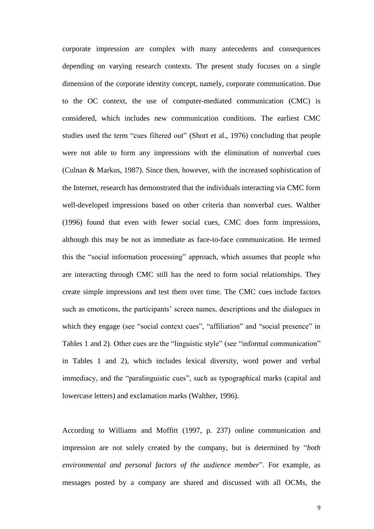corporate impression are complex with many antecedents and consequences depending on varying research contexts. The present study focuses on a single dimension of the corporate identity concept, namely, corporate communication. Due to the OC context, the use of computer-mediated communication (CMC) is considered, which includes new communication conditions. The earliest CMC studies used the term "cues filtered out" (Short et al., 1976) concluding that people were not able to form any impressions with the elimination of nonverbal cues (Culnan & Markus, 1987). Since then, however, with the increased sophistication of the Internet, research has demonstrated that the individuals interacting via CMC form well-developed impressions based on other criteria than nonverbal cues. Walther (1996) found that even with fewer social cues, CMC does form impressions, although this may be not as immediate as face-to-face communication. He termed this the "social information processing" approach, which assumes that people who are interacting through CMC still has the need to form social relationships. They create simple impressions and test them over time. The CMC cues include factors such as emoticons, the participants' screen names, descriptions and the dialogues in which they engage (see "social context cues", "affiliation" and "social presence" in Tables 1 and 2). Other cues are the "linguistic style" (see "informal communication" in Tables 1 and 2), which includes lexical diversity, word power and verbal immediacy, and the "paralinguistic cues", such as typographical marks (capital and lowercase letters) and exclamation marks (Walther, 1996).

According to Williams and Moffitt (1997, p. 237) online communication and impression are not solely created by the company, but is determined by "*both environmental and personal factors of the audience member*". For example, as messages posted by a company are shared and discussed with all OCMs, the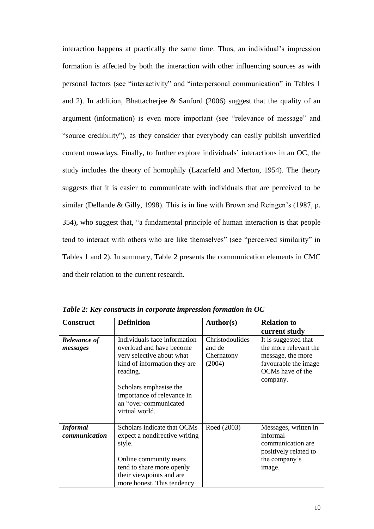interaction happens at practically the same time. Thus, an individual's impression formation is affected by both the interaction with other influencing sources as with personal factors (see "interactivity" and "interpersonal communication" in Tables 1 and 2). In addition, Bhattacherjee & Sanford (2006) suggest that the quality of an argument (information) is even more important (see "relevance of message" and "source credibility"), as they consider that everybody can easily publish unverified content nowadays. Finally, to further explore individuals' interactions in an OC, the study includes the theory of homophily (Lazarfeld and Merton, 1954). The theory suggests that it is easier to communicate with individuals that are perceived to be similar (Dellande & Gilly, 1998). This is in line with Brown and Reingen's (1987, p. 354), who suggest that, "a fundamental principle of human interaction is that people tend to interact with others who are like themselves" (see "perceived similarity" in Tables 1 and 2). In summary, Table 2 presents the communication elements in CMC and their relation to the current research.

| <b>Construct</b>                 | <b>Definition</b>                                                                                                                                                                                                                    | Author(s)                                         | <b>Relation to</b>                                                                                                                     |
|----------------------------------|--------------------------------------------------------------------------------------------------------------------------------------------------------------------------------------------------------------------------------------|---------------------------------------------------|----------------------------------------------------------------------------------------------------------------------------------------|
|                                  |                                                                                                                                                                                                                                      |                                                   | current study                                                                                                                          |
| <b>Relevance of</b><br>messages  | Individuals face information<br>overload and have become<br>very selective about what<br>kind of information they are<br>reading.<br>Scholars emphasise the<br>importance of relevance in<br>an "over-communicated<br>virtual world. | Christodoulides<br>and de<br>Chernatony<br>(2004) | It is suggested that<br>the more relevant the<br>message, the more<br>favourable the image<br>OCM <sub>s</sub> have of the<br>company. |
| <b>Informal</b><br>communication | Scholars indicate that OCMs<br>expect a nondirective writing<br>style.<br>Online community users<br>tend to share more openly<br>their viewpoints and are<br>more honest. This tendency                                              | Roed (2003)                                       | Messages, written in<br>informal<br>communication are<br>positively related to<br>the company's<br>image.                              |

*Table 2: Key constructs in corporate impression formation in OC*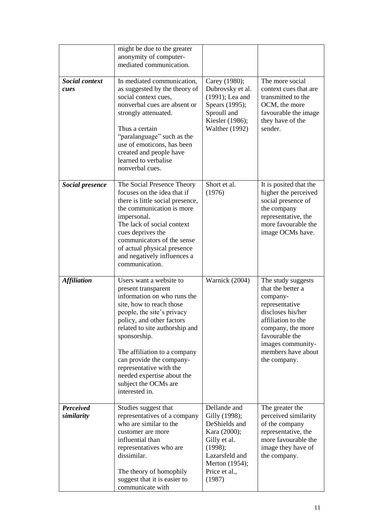|                                                                                                                                                                                                                                                                                                                                                                                                             | might be due to the greater<br>anonymity of computer-<br>mediated communication.                                                                                                                                                                                                                           |                                                                                                                                                          |                                                                                                                                                                                                                    |
|-------------------------------------------------------------------------------------------------------------------------------------------------------------------------------------------------------------------------------------------------------------------------------------------------------------------------------------------------------------------------------------------------------------|------------------------------------------------------------------------------------------------------------------------------------------------------------------------------------------------------------------------------------------------------------------------------------------------------------|----------------------------------------------------------------------------------------------------------------------------------------------------------|--------------------------------------------------------------------------------------------------------------------------------------------------------------------------------------------------------------------|
| <b>Social context</b><br>cues                                                                                                                                                                                                                                                                                                                                                                               | In mediated communication,<br>as suggested by the theory of<br>social context cues,<br>nonverbal cues are absent or<br>strongly attenuated.<br>Thus a certain<br>"paralanguage" such as the<br>use of emoticons, has been<br>created and people have<br>learned to verbalise<br>nonverbal cues.            | Carey (1980);<br>Dubrovsky et al.<br>$(1991)$ ; Lea and<br>Spears (1995);<br>Sproull and<br>Kiesler (1986);<br><b>Walther</b> (1992)                     | The more social<br>context cues that are<br>transmitted to the<br>OCM, the more<br>favourable the image<br>they have of the<br>sender.                                                                             |
| Social presence                                                                                                                                                                                                                                                                                                                                                                                             | The Social Presence Theory<br>focuses on the idea that if<br>there is little social presence,<br>the communication is more<br>impersonal.<br>The lack of social context<br>cues deprives the<br>communicators of the sense<br>of actual physical presence<br>and negatively influences a<br>communication. |                                                                                                                                                          | It is posited that the<br>higher the perceived<br>social presence of<br>the company<br>representative, the<br>more favourable the<br>image OCMs have.                                                              |
| Users want a website to<br><b>Affiliation</b><br>present transparent<br>information on who runs the<br>site, how to reach those<br>people, the site's privacy<br>policy, and other factors<br>related to site authorship and<br>sponsorship.<br>The affiliation to a company<br>can provide the company-<br>representative with the<br>needed expertise about the<br>subject the OCMs are<br>interested in. |                                                                                                                                                                                                                                                                                                            | Warnick (2004)                                                                                                                                           | The study suggests<br>that the better a<br>company-<br>representative<br>discloses his/her<br>affiliation to the<br>company, the more<br>favourable the<br>images community-<br>members have about<br>the company. |
| Perceived<br>similarity                                                                                                                                                                                                                                                                                                                                                                                     | Studies suggest that<br>representatives of a company<br>who are similar to the<br>customer are more<br>influential than<br>representatives who are<br>dissimilar.<br>The theory of homophily<br>suggest that it is easier to<br>communicate with                                                           | Dellande and<br>Gilly (1998);<br>DeShields and<br>Kara (2000);<br>Gilly et al.<br>(1998);<br>Lazarsfeld and<br>Merton (1954);<br>Price et al.,<br>(1987) | The greater the<br>perceived similarity<br>of the company<br>representative, the<br>more favourable the<br>image they have of<br>the company.                                                                      |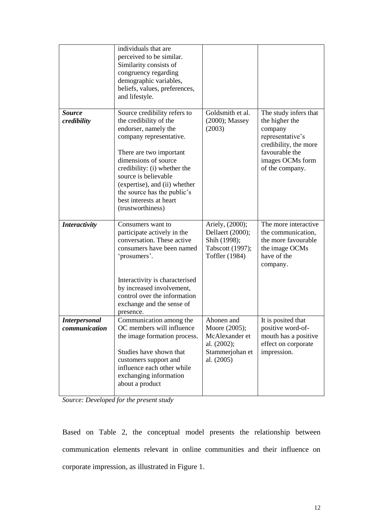|                                                                                                                                                                                                                                                                                                                                                                      | individuals that are<br>perceived to be similar.<br>Similarity consists of<br>congruency regarding<br>demographic variables,<br>beliefs, values, preferences,<br>and lifestyle.                                     |                                                                                               |                                                                                                                                                          |
|----------------------------------------------------------------------------------------------------------------------------------------------------------------------------------------------------------------------------------------------------------------------------------------------------------------------------------------------------------------------|---------------------------------------------------------------------------------------------------------------------------------------------------------------------------------------------------------------------|-----------------------------------------------------------------------------------------------|----------------------------------------------------------------------------------------------------------------------------------------------------------|
| Source credibility refers to<br><b>Source</b><br>the credibility of the<br>credibility<br>endorser, namely the<br>company representative.<br>There are two important<br>dimensions of source<br>credibility: (i) whether the<br>source is believable<br>(expertise), and (ii) whether<br>the source has the public's<br>best interests at heart<br>(trustworthiness) |                                                                                                                                                                                                                     | Goldsmith et al.<br>(2000); Massey<br>(2003)                                                  | The study infers that<br>the higher the<br>company<br>representative's<br>credibility, the more<br>favourable the<br>images OCMs form<br>of the company. |
| <b>Interactivity</b>                                                                                                                                                                                                                                                                                                                                                 | Consumers want to<br>participate actively in the<br>conversation. These active<br>consumers have been named<br>'prosumers'.                                                                                         | Ariely, (2000);<br>Dellaert (2000);<br>Shih (1998);<br>Tabscott (1997);<br>Toffler (1984)     | The more interactive<br>the communication,<br>the more favourable<br>the image OCMs<br>have of the<br>company.                                           |
|                                                                                                                                                                                                                                                                                                                                                                      | Interactivity is characterised<br>by increased involvement,<br>control over the information<br>exchange and the sense of<br>presence.                                                                               |                                                                                               |                                                                                                                                                          |
| <i>Interpersonal</i><br>communication                                                                                                                                                                                                                                                                                                                                | Communication among the<br>OC members will influence<br>the image formation process.<br>Studies have shown that<br>customers support and<br>influence each other while<br>exchanging information<br>about a product | Ahonen and<br>Moore (2005);<br>McAlexander et<br>al. (2002);<br>Stammerjohan et<br>al. (2005) | It is posited that<br>positive word-of-<br>mouth has a positive<br>effect on corporate<br>impression.                                                    |

*Source: Developed for the present study*

Based on Table 2, the conceptual model presents the relationship between communication elements relevant in online communities and their influence on corporate impression, as illustrated in Figure 1.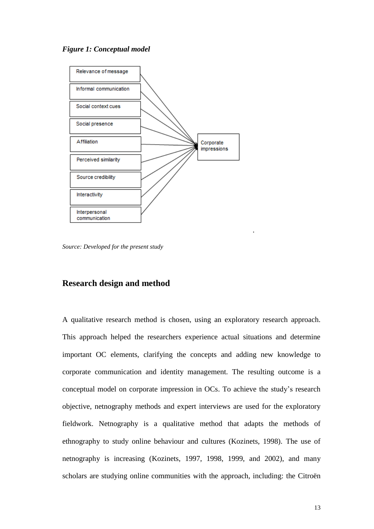



*Source: Developed for the present study*

## **Research design and method**

A qualitative research method is chosen, using an exploratory research approach. This approach helped the researchers experience actual situations and determine important OC elements, clarifying the concepts and adding new knowledge to corporate communication and identity management. The resulting outcome is a conceptual model on corporate impression in OCs. To achieve the study's research objective, netnography methods and expert interviews are used for the exploratory fieldwork. Netnography is a qualitative method that adapts the methods of ethnography to study online behaviour and cultures (Kozinets, 1998). The use of netnography is increasing (Kozinets, 1997, 1998, 1999, and 2002), and many scholars are studying online communities with the approach, including: the Citroën

.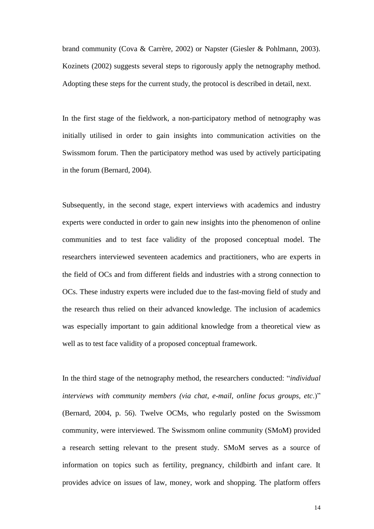brand community (Cova & Carrère, 2002) or Napster (Giesler & Pohlmann, 2003). Kozinets (2002) suggests several steps to rigorously apply the netnography method. Adopting these steps for the current study, the protocol is described in detail, next.

In the first stage of the fieldwork, a non-participatory method of netnography was initially utilised in order to gain insights into communication activities on the Swissmom forum. Then the participatory method was used by actively participating in the forum (Bernard, 2004).

Subsequently, in the second stage, expert interviews with academics and industry experts were conducted in order to gain new insights into the phenomenon of online communities and to test face validity of the proposed conceptual model. The researchers interviewed seventeen academics and practitioners, who are experts in the field of OCs and from different fields and industries with a strong connection to OCs. These industry experts were included due to the fast-moving field of study and the research thus relied on their advanced knowledge. The inclusion of academics was especially important to gain additional knowledge from a theoretical view as well as to test face validity of a proposed conceptual framework.

In the third stage of the netnography method, the researchers conducted: "*individual interviews with community members (via chat, e-mail, online focus groups, etc*.)" (Bernard, 2004, p. 56). Twelve OCMs, who regularly posted on the Swissmom community, were interviewed. The Swissmom online community (SMoM) provided a research setting relevant to the present study. SMoM serves as a source of information on topics such as fertility, pregnancy, childbirth and infant care. It provides advice on issues of law, money, work and shopping. The platform offers

14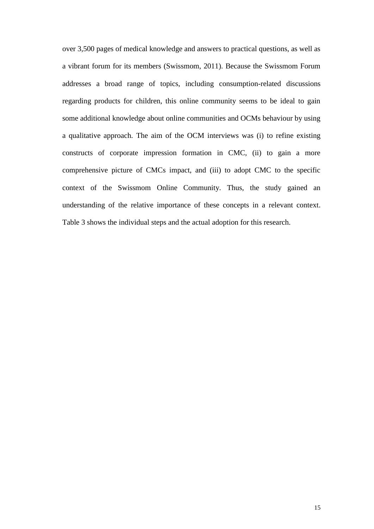over 3,500 pages of medical knowledge and answers to practical questions, as well as a vibrant forum for its members (Swissmom, 2011). Because the Swissmom Forum addresses a broad range of topics, including consumption-related discussions regarding products for children, this online community seems to be ideal to gain some additional knowledge about online communities and OCMs behaviour by using a qualitative approach. The aim of the OCM interviews was (i) to refine existing constructs of corporate impression formation in CMC, (ii) to gain a more comprehensive picture of CMCs impact, and (iii) to adopt CMC to the specific context of the Swissmom Online Community. Thus, the study gained an understanding of the relative importance of these concepts in a relevant context. Table 3 shows the individual steps and the actual adoption for this research.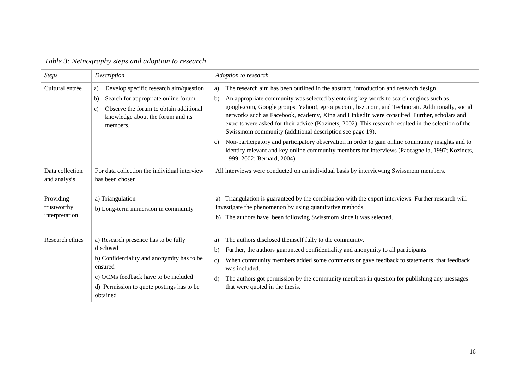| <b>Steps</b>                               | Description                                                                                                                                                                                                 | Adoption to research                                                                                                                                                                                                                                                                                                                                                                                                                                                                                                                                                                                                                                                                                                                                                                                                      |
|--------------------------------------------|-------------------------------------------------------------------------------------------------------------------------------------------------------------------------------------------------------------|---------------------------------------------------------------------------------------------------------------------------------------------------------------------------------------------------------------------------------------------------------------------------------------------------------------------------------------------------------------------------------------------------------------------------------------------------------------------------------------------------------------------------------------------------------------------------------------------------------------------------------------------------------------------------------------------------------------------------------------------------------------------------------------------------------------------------|
| Cultural entrée                            | Develop specific research aim/question<br>a)<br>Search for appropriate online forum<br>b)<br>Observe the forum to obtain additional<br>$\mathcal{C}$ )<br>knowledge about the forum and its<br>members.     | The research aim has been outlined in the abstract, introduction and research design.<br>a)<br>An appropriate community was selected by entering key words to search engines such as<br>b)<br>google.com, Google groups, Yahoo!, egroups.com, liszt.com, and Technorati. Additionally, social<br>networks such as Facebook, ecademy, Xing and LinkedIn were consulted. Further, scholars and<br>experts were asked for their advice (Kozinets, 2002). This research resulted in the selection of the<br>Swissmom community (additional description see page 19).<br>Non-participatory and participatory observation in order to gain online community insights and to<br>$\mathbf{c}$ )<br>identify relevant and key online community members for interviews (Paccagnella, 1997; Kozinets,<br>1999, 2002; Bernard, 2004). |
| Data collection<br>and analysis            | For data collection the individual interview<br>has been chosen                                                                                                                                             | All interviews were conducted on an individual basis by interviewing Swissmom members.                                                                                                                                                                                                                                                                                                                                                                                                                                                                                                                                                                                                                                                                                                                                    |
| Providing<br>trustworthy<br>interpretation | a) Triangulation<br>b) Long-term immersion in community                                                                                                                                                     | Triangulation is guaranteed by the combination with the expert interviews. Further research will<br>a)<br>investigate the phenomenon by using quantitative methods.<br>The authors have been following Swissmom since it was selected.<br>b)                                                                                                                                                                                                                                                                                                                                                                                                                                                                                                                                                                              |
| Research ethics                            | a) Research presence has to be fully<br>disclosed<br>b) Confidentiality and anonymity has to be<br>ensured<br>c) OCMs feedback have to be included<br>d) Permission to quote postings has to be<br>obtained | The authors disclosed themself fully to the community.<br>a)<br>Further, the authors guaranteed confidentiality and anonymity to all participants.<br>b)<br>When community members added some comments or gave feedback to statements, that feedback<br>$\mathbf{c}$ )<br>was included.<br>The authors got permission by the community members in question for publishing any messages<br>d)<br>that were quoted in the thesis.                                                                                                                                                                                                                                                                                                                                                                                           |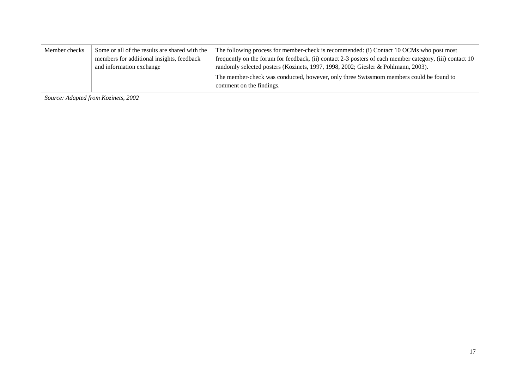| Member checks | Some or all of the results are shared with the | The following process for member-check is recommended: (i) Contact 10 OCMs who post most                 |
|---------------|------------------------------------------------|----------------------------------------------------------------------------------------------------------|
|               | members for additional insights, feedback      | frequently on the forum for feedback, (ii) contact 2-3 posters of each member category, (iii) contact 10 |
|               | and information exchange                       | randomly selected posters (Kozinets, 1997, 1998, 2002; Giesler & Pohlmann, 2003).                        |
|               |                                                | The member-check was conducted, however, only three Swissmom members could be found to                   |
|               |                                                | comment on the findings.                                                                                 |

*Source: Adapted from Kozinets, 2002*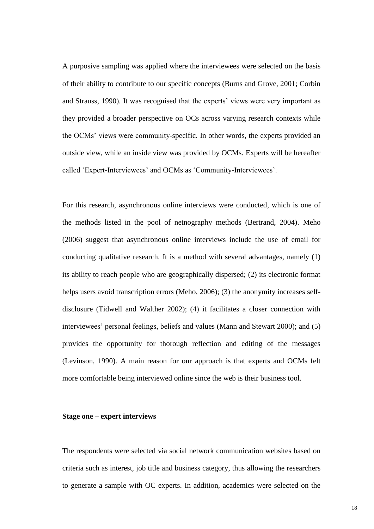A purposive sampling was applied where the interviewees were selected on the basis of their ability to contribute to our specific concepts (Burns and Grove, 2001; Corbin and Strauss, 1990). It was recognised that the experts' views were very important as they provided a broader perspective on OCs across varying research contexts while the OCMs' views were community-specific. In other words, the experts provided an outside view, while an inside view was provided by OCMs. Experts will be hereafter called 'Expert-Interviewees' and OCMs as 'Community-Interviewees'.

For this research, asynchronous online interviews were conducted, which is one of the methods listed in the pool of netnography methods (Bertrand, 2004). Meho (2006) suggest that asynchronous online interviews include the use of email for conducting qualitative research. It is a method with several advantages, namely (1) its ability to reach people who are geographically dispersed; (2) its electronic format helps users avoid transcription errors (Meho, 2006); (3) the anonymity increases selfdisclosure (Tidwell and Walther 2002); (4) it facilitates a closer connection with interviewees' personal feelings, beliefs and values (Mann and Stewart 2000); and (5) provides the opportunity for thorough reflection and editing of the messages (Levinson, 1990). A main reason for our approach is that experts and OCMs felt more comfortable being interviewed online since the web is their business tool.

#### **Stage one – expert interviews**

The respondents were selected via social network communication websites based on criteria such as interest, job title and business category, thus allowing the researchers to generate a sample with OC experts. In addition, academics were selected on the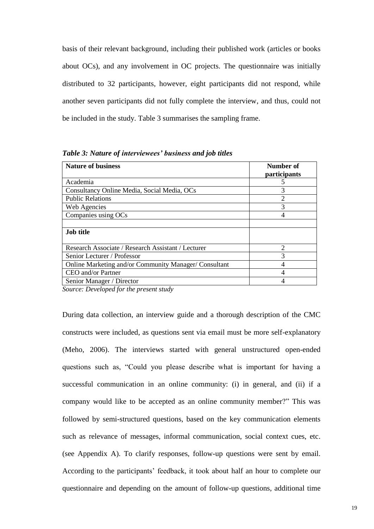basis of their relevant background, including their published work (articles or books about OCs), and any involvement in OC projects. The questionnaire was initially distributed to 32 participants, however, eight participants did not respond, while another seven participants did not fully complete the interview, and thus, could not be included in the study. Table 3 summarises the sampling frame.

**Nature of business Number of Number of participants** Academia 5 **Consultancy Online Media, Social Media, OCs** 3 Public Relations 2 Web Agencies 3 Companies using OCs 4 **Job title** Research Associate / Research Assistant / Lecturer 2 Senior Lecturer / Professor 3 Online Marketing and/or Community Manager/ Consultant 4 CEO and/or Partner 4 Senior Manager / Director 4

*Table 3: Nature of interviewees' business and job titles*

*Source: Developed for the present study*

During data collection, an interview guide and a thorough description of the CMC constructs were included, as questions sent via email must be more self-explanatory (Meho, 2006). The interviews started with general unstructured open-ended questions such as, "Could you please describe what is important for having a successful communication in an online community: (i) in general, and (ii) if a company would like to be accepted as an online community member?" This was followed by semi-structured questions, based on the key communication elements such as relevance of messages, informal communication, social context cues, etc. (see Appendix A). To clarify responses, follow-up questions were sent by email. According to the participants' feedback, it took about half an hour to complete our questionnaire and depending on the amount of follow-up questions, additional time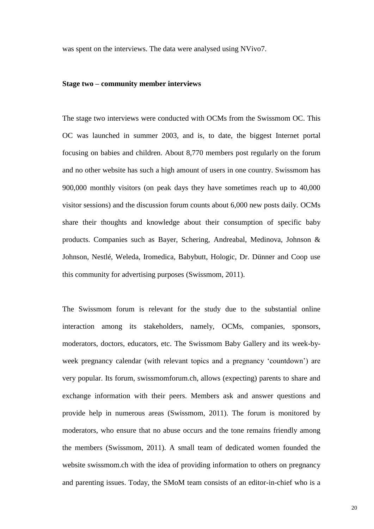was spent on the interviews. The data were analysed using NVivo7.

#### **Stage two – community member interviews**

The stage two interviews were conducted with OCMs from the Swissmom OC. This OC was launched in summer 2003, and is, to date, the biggest Internet portal focusing on babies and children. About 8,770 members post regularly on the forum and no other website has such a high amount of users in one country. Swissmom has 900,000 monthly visitors (on peak days they have sometimes reach up to 40,000 visitor sessions) and the discussion forum counts about 6,000 new posts daily. OCMs share their thoughts and knowledge about their consumption of specific baby products. Companies such as Bayer, Schering, Andreabal, Medinova, Johnson & Johnson, Nestlé, Weleda, Iromedica, Babybutt, Hologic, Dr. Dünner and Coop use this community for advertising purposes (Swissmom, 2011).

The Swissmom forum is relevant for the study due to the substantial online interaction among its stakeholders, namely, OCMs, companies, sponsors, moderators, doctors, educators, etc. The Swissmom Baby Gallery and its week-byweek pregnancy calendar (with relevant topics and a pregnancy 'countdown') are very popular. Its forum, swissmomforum.ch, allows (expecting) parents to share and exchange information with their peers. Members ask and answer questions and provide help in numerous areas (Swissmom, 2011). The forum is monitored by moderators, who ensure that no abuse occurs and the tone remains friendly among the members (Swissmom, 2011). A small team of dedicated women founded the website swissmom.ch with the idea of providing information to others on pregnancy and parenting issues. Today, the SMoM team consists of an editor-in-chief who is a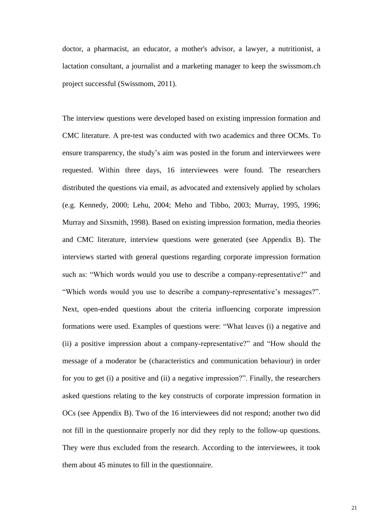doctor, a pharmacist, an educator, a mother's advisor, a lawyer, a nutritionist, a lactation consultant, a journalist and a marketing manager to keep the swissmom.ch project successful (Swissmom, 2011).

The interview questions were developed based on existing impression formation and CMC literature. A pre-test was conducted with two academics and three OCMs. To ensure transparency, the study's aim was posted in the forum and interviewees were requested. Within three days, 16 interviewees were found. The researchers distributed the questions via email, as advocated and extensively applied by scholars (e.g. Kennedy, 2000; Lehu, 2004; Meho and Tibbo, 2003; Murray, 1995, 1996; Murray and Sixsmith, 1998). Based on existing impression formation, media theories and CMC literature, interview questions were generated (see Appendix B). The interviews started with general questions regarding corporate impression formation such as: "Which words would you use to describe a company-representative?" and "Which words would you use to describe a company-representative's messages?". Next, open-ended questions about the criteria influencing corporate impression formations were used. Examples of questions were: "What leaves (i) a negative and (ii) a positive impression about a company-representative?" and "How should the message of a moderator be (characteristics and communication behaviour) in order for you to get (i) a positive and (ii) a negative impression?". Finally, the researchers asked questions relating to the key constructs of corporate impression formation in OCs (see Appendix B). Two of the 16 interviewees did not respond; another two did not fill in the questionnaire properly nor did they reply to the follow-up questions. They were thus excluded from the research. According to the interviewees, it took them about 45 minutes to fill in the questionnaire.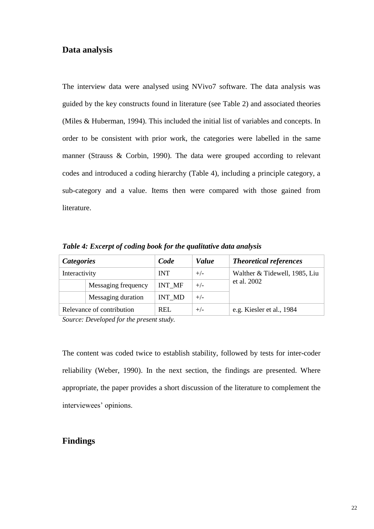## **Data analysis**

The interview data were analysed using NVivo7 software. The data analysis was guided by the key constructs found in literature (see Table 2) and associated theories (Miles & Huberman, 1994). This included the initial list of variables and concepts. In order to be consistent with prior work, the categories were labelled in the same manner (Strauss & Corbin, 1990). The data were grouped according to relevant codes and introduced a coding hierarchy (Table 4), including a principle category, a sub-category and a value. Items then were compared with those gained from literature.

| <i>Categories</i>         |                     | Code       | <b>Value</b> | <b>Theoretical references</b> |  |  |  |
|---------------------------|---------------------|------------|--------------|-------------------------------|--|--|--|
| Interactivity             |                     | <b>INT</b> | $+/-$        | Walther & Tidewell, 1985, Liu |  |  |  |
|                           | Messaging frequency |            | $+/-$        | et al. 2002                   |  |  |  |
| Messaging duration        |                     | INT_MD     | $+/-$        |                               |  |  |  |
| Relevance of contribution |                     | <b>REL</b> | $+/-$        | e.g. Kiesler et al., 1984     |  |  |  |

*Table 4: Excerpt of coding book for the qualitative data analysis*

*Source: Developed for the present study.*

The content was coded twice to establish stability, followed by tests for inter-coder reliability (Weber, 1990). In the next section, the findings are presented. Where appropriate, the paper provides a short discussion of the literature to complement the interviewees' opinions.

## **Findings**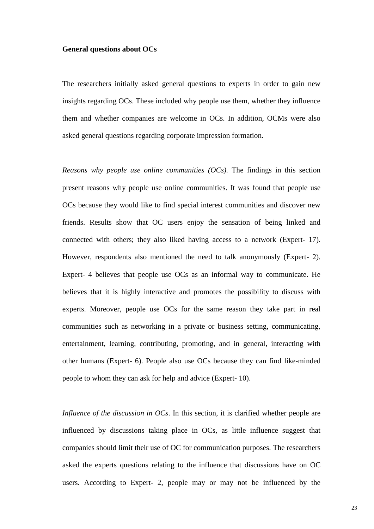#### **General questions about OCs**

The researchers initially asked general questions to experts in order to gain new insights regarding OCs. These included why people use them, whether they influence them and whether companies are welcome in OCs. In addition, OCMs were also asked general questions regarding corporate impression formation.

*Reasons why people use online communities (OCs).* The findings in this section present reasons why people use online communities. It was found that people use OCs because they would like to find special interest communities and discover new friends. Results show that OC users enjoy the sensation of being linked and connected with others; they also liked having access to a network (Expert- 17). However, respondents also mentioned the need to talk anonymously (Expert- 2). Expert- 4 believes that people use OCs as an informal way to communicate. He believes that it is highly interactive and promotes the possibility to discuss with experts. Moreover, people use OCs for the same reason they take part in real communities such as networking in a private or business setting, communicating, entertainment, learning, contributing, promoting, and in general, interacting with other humans (Expert- 6). People also use OCs because they can find like-minded people to whom they can ask for help and advice (Expert- 10).

*Influence of the discussion in OCs*. In this section, it is clarified whether people are influenced by discussions taking place in OCs, as little influence suggest that companies should limit their use of OC for communication purposes. The researchers asked the experts questions relating to the influence that discussions have on OC users. According to Expert- 2, people may or may not be influenced by the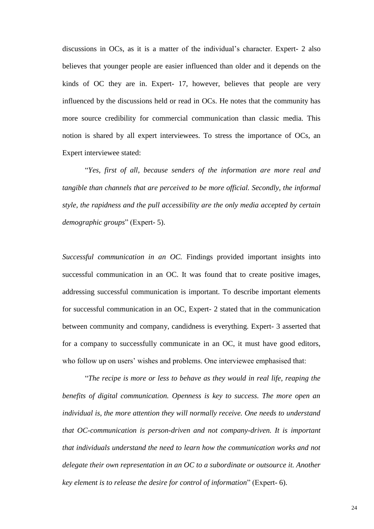discussions in OCs, as it is a matter of the individual's character. Expert- 2 also believes that younger people are easier influenced than older and it depends on the kinds of OC they are in. Expert- 17, however, believes that people are very influenced by the discussions held or read in OCs. He notes that the community has more source credibility for commercial communication than classic media. This notion is shared by all expert interviewees. To stress the importance of OCs, an Expert interviewee stated:

"*Yes, first of all, because senders of the information are more real and tangible than channels that are perceived to be more official. Secondly, the informal style, the rapidness and the pull accessibility are the only media accepted by certain demographic groups*" (Expert- 5).

*Successful communication in an OC.* Findings provided important insights into successful communication in an OC. It was found that to create positive images, addressing successful communication is important. To describe important elements for successful communication in an OC, Expert- 2 stated that in the communication between community and company, candidness is everything. Expert- 3 asserted that for a company to successfully communicate in an OC, it must have good editors, who follow up on users' wishes and problems. One interviewee emphasised that:

"*The recipe is more or less to behave as they would in real life, reaping the benefits of digital communication. Openness is key to success. The more open an individual is, the more attention they will normally receive. One needs to understand that OC-communication is person-driven and not company-driven. It is important that individuals understand the need to learn how the communication works and not delegate their own representation in an OC to a subordinate or outsource it. Another key element is to release the desire for control of information*" (Expert- 6).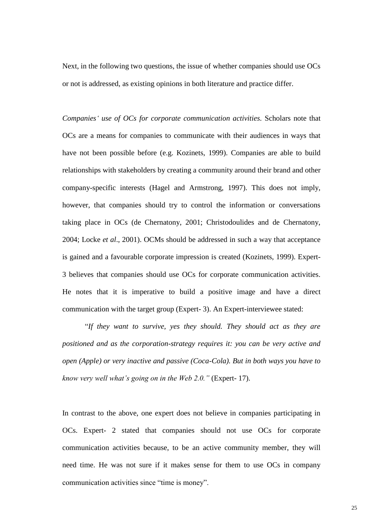Next, in the following two questions, the issue of whether companies should use OCs or not is addressed, as existing opinions in both literature and practice differ.

*Companies' use of OCs for corporate communication activities.* Scholars note that OCs are a means for companies to communicate with their audiences in ways that have not been possible before (e.g. Kozinets, 1999). Companies are able to build relationships with stakeholders by creating a community around their brand and other company-specific interests (Hagel and Armstrong, 1997). This does not imply, however, that companies should try to control the information or conversations taking place in OCs (de Chernatony, 2001; Christodoulides and de Chernatony, 2004; Locke *et al*., 2001). OCMs should be addressed in such a way that acceptance is gained and a favourable corporate impression is created (Kozinets, 1999). Expert-3 believes that companies should use OCs for corporate communication activities. He notes that it is imperative to build a positive image and have a direct communication with the target group (Expert- 3). An Expert-interviewee stated:

"*If they want to survive, yes they should. They should act as they are positioned and as the corporation-strategy requires it: you can be very active and open (Apple) or very inactive and passive (Coca-Cola). But in both ways you have to know very well what's going on in the Web 2.0."* (Expert- 17).

In contrast to the above, one expert does not believe in companies participating in OCs. Expert- 2 stated that companies should not use OCs for corporate communication activities because, to be an active community member, they will need time. He was not sure if it makes sense for them to use OCs in company communication activities since "time is money".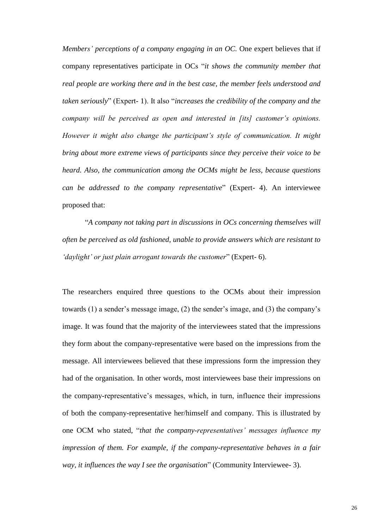*Members' perceptions of a company engaging in an OC.* One expert believes that if company representatives participate in OCs "*it shows the community member that real people are working there and in the best case, the member feels understood and taken seriously*" (Expert- 1). It also "*increases the credibility of the company and the company will be perceived as open and interested in [its] customer's opinions. However it might also change the participant's style of communication. It might bring about more extreme views of participants since they perceive their voice to be heard. Also, the communication among the OCMs might be less, because questions can be addressed to the company representative*" (Expert- 4). An interviewee proposed that:

"*A company not taking part in discussions in OCs concerning themselves will often be perceived as old fashioned, unable to provide answers which are resistant to 'daylight' or just plain arrogant towards the customer*" (Expert- 6).

The researchers enquired three questions to the OCMs about their impression towards (1) a sender's message image, (2) the sender's image, and (3) the company's image. It was found that the majority of the interviewees stated that the impressions they form about the company-representative were based on the impressions from the message. All interviewees believed that these impressions form the impression they had of the organisation. In other words, most interviewees base their impressions on the company-representative's messages, which, in turn, influence their impressions of both the company-representative her/himself and company. This is illustrated by one OCM who stated, "*that the company-representatives' messages influence my impression of them. For example, if the company-representative behaves in a fair way, it influences the way I see the organisation*" (Community Interviewee- 3).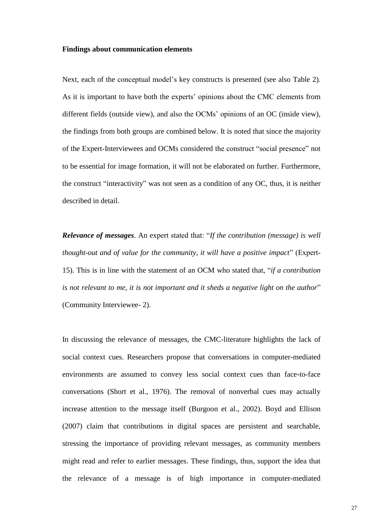#### **Findings about communication elements**

Next, each of the conceptual model's key constructs is presented (see also Table 2). As it is important to have both the experts' opinions about the CMC elements from different fields (outside view), and also the OCMs' opinions of an OC (inside view), the findings from both groups are combined below. It is noted that since the majority of the Expert-Interviewees and OCMs considered the construct "social presence" not to be essential for image formation, it will not be elaborated on further. Furthermore, the construct "interactivity" was not seen as a condition of any OC, thus, it is neither described in detail.

*Relevance of messages*. An expert stated that: "*If the contribution (message) is well thought-out and of value for the community, it will have a positive impact*" (Expert-15). This is in line with the statement of an OCM who stated that, "*if a contribution is not relevant to me, it is not important and it sheds a negative light on the author*" (Community Interviewee- 2).

In discussing the relevance of messages, the CMC-literature highlights the lack of social context cues. Researchers propose that conversations in computer-mediated environments are assumed to convey less social context cues than face-to-face conversations (Short et al., 1976). The removal of nonverbal cues may actually increase attention to the message itself (Burgoon et al., 2002). Boyd and Ellison (2007) claim that contributions in digital spaces are persistent and searchable, stressing the importance of providing relevant messages, as community members might read and refer to earlier messages. These findings, thus, support the idea that the relevance of a message is of high importance in computer-mediated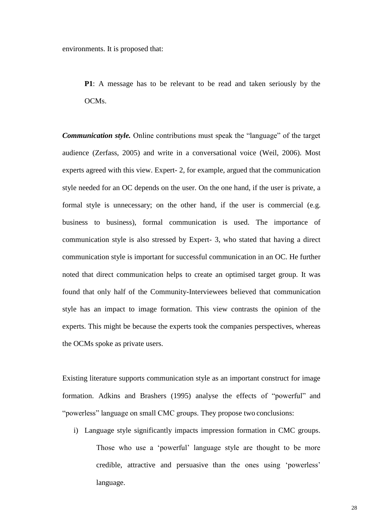environments. It is proposed that:

**P1**: A message has to be relevant to be read and taken seriously by the OCMs.

*Communication style.* Online contributions must speak the "language" of the target audience (Zerfass, 2005) and write in a conversational voice (Weil, 2006). Most experts agreed with this view. Expert- 2, for example, argued that the communication style needed for an OC depends on the user. On the one hand, if the user is private, a formal style is unnecessary; on the other hand, if the user is commercial (e.g. business to business), formal communication is used. The importance of communication style is also stressed by Expert- 3, who stated that having a direct communication style is important for successful communication in an OC. He further noted that direct communication helps to create an optimised target group. It was found that only half of the Community-Interviewees believed that communication style has an impact to image formation. This view contrasts the opinion of the experts. This might be because the experts took the companies perspectives, whereas the OCMs spoke as private users.

Existing literature supports communication style as an important construct for image formation. Adkins and Brashers (1995) analyse the effects of "powerful" and "powerless" language on small CMC groups. They propose two conclusions:

i) Language style significantly impacts impression formation in CMC groups. Those who use a 'powerful' language style are thought to be more credible, attractive and persuasive than the ones using 'powerless' language.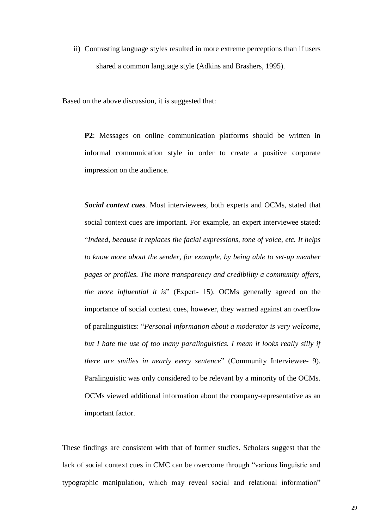ii) Contrasting language styles resulted in more extreme perceptions than if users shared a common language style (Adkins and Brashers, 1995).

Based on the above discussion, it is suggested that:

**P2**: Messages on online communication platforms should be written in informal communication style in order to create a positive corporate impression on the audience.

*Social context cues.* Most interviewees, both experts and OCMs, stated that social context cues are important. For example, an expert interviewee stated: "*Indeed, because it replaces the facial expressions, tone of voice, etc. It helps to know more about the sender, for example, by being able to set-up member pages or profiles. The more transparency and credibility a community offers, the more influential it is*" (Expert- 15). OCMs generally agreed on the importance of social context cues, however, they warned against an overflow of paralinguistics: "*Personal information about a moderator is very welcome, but I hate the use of too many paralinguistics. I mean it looks really silly if there are smilies in nearly every sentence*" (Community Interviewee- 9). Paralinguistic was only considered to be relevant by a minority of the OCMs. OCMs viewed additional information about the company-representative as an important factor.

These findings are consistent with that of former studies. Scholars suggest that the lack of social context cues in CMC can be overcome through "various linguistic and typographic manipulation, which may reveal social and relational information"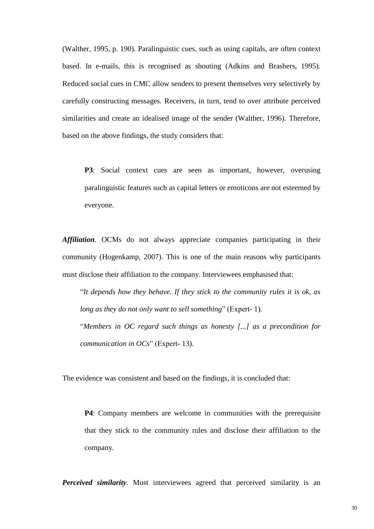(Walther, 1995, p. 190). Paralinguistic cues, such as using capitals, are often context based. In e-mails, this is recognised as shouting (Adkins and Brashers, 1995). Reduced social cues in CMC allow senders to present themselves very selectively by carefully constructing messages. Receivers, in turn, tend to over attribute perceived similarities and create an idealised image of the sender (Walther, 1996). Therefore, based on the above findings, the study considers that:

**P3**: Social context cues are seen as important, however, overusing paralinguistic features such as capital letters or emoticons are not esteemed by everyone.

*Affiliation*. OCMs do not always appreciate companies participating in their community (Hogenkamp, 2007). This is one of the main reasons why participants must disclose their affiliation to the company. Interviewees emphasised that:

"*It depends how they behave. If they stick to the community rules it is ok, as long as they do not only want to sell something*" (Expert- 1). "*Members in OC regard such things as honesty [...] as a precondition for communication in OCs*" (Expert- 13).

The evidence was consistent and based on the findings, it is concluded that:

**P4**: Company members are welcome in communities with the prerequisite that they stick to the community rules and disclose their affiliation to the company.

*Perceived similarity*. Most interviewees agreed that perceived similarity is an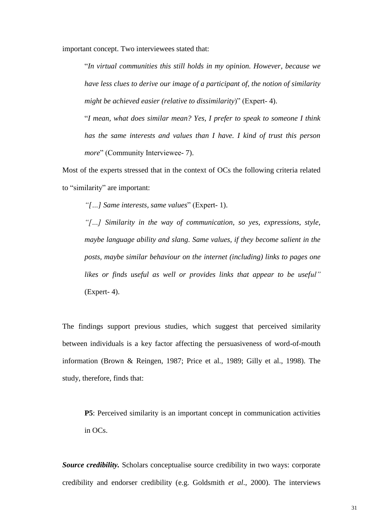important concept. Two interviewees stated that:

"*In virtual communities this still holds in my opinion. However, because we have less clues to derive our image of a participant of, the notion of similarity might be achieved easier (relative to dissimilarity*)" (Expert- 4). "*I mean, what does similar mean? Yes, I prefer to speak to someone I think has the same interests and values than I have. I kind of trust this person more*" (Community Interviewee- 7).

Most of the experts stressed that in the context of OCs the following criteria related to "similarity" are important:

*"[…] Same interests, same values*" (Expert- 1).

*"[…] Similarity in the way of communication, so yes, expressions, style, maybe language ability and slang. Same values, if they become salient in the posts, maybe similar behaviour on the internet (including) links to pages one likes or finds useful as well or provides links that appear to be useful"* (Expert- 4).

The findings support previous studies, which suggest that perceived similarity between individuals is a key factor affecting the persuasiveness of word-of-mouth information (Brown & Reingen, 1987; Price et al., 1989; Gilly et al., 1998). The study, therefore, finds that:

**P5**: Perceived similarity is an important concept in communication activities in OCs.

**Source credibility.** Scholars conceptualise source credibility in two ways: corporate credibility and endorser credibility (e.g. Goldsmith *et al*., 2000). The interviews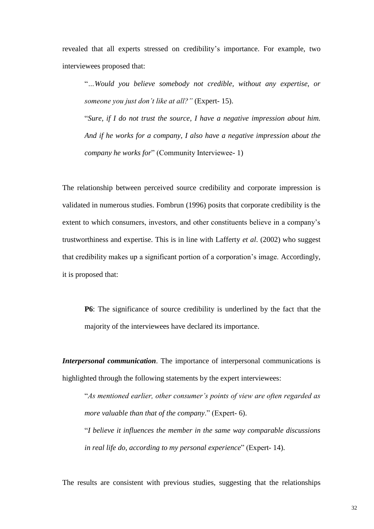revealed that all experts stressed on credibility's importance. For example, two interviewees proposed that:

"*…Would you believe somebody not credible, without any expertise, or someone you just don't like at all?"* (Expert- 15).

"*Sure, if I do not trust the source, I have a negative impression about him. And if he works for a company, I also have a negative impression about the company he works for*" (Community Interviewee- 1)

The relationship between perceived source credibility and corporate impression is validated in numerous studies. Fombrun (1996) posits that corporate credibility is the extent to which consumers, investors, and other constituents believe in a company's trustworthiness and expertise. This is in line with Lafferty *et al*. (2002) who suggest that credibility makes up a significant portion of a corporation's image. Accordingly, it is proposed that:

**P6**: The significance of source credibility is underlined by the fact that the majority of the interviewees have declared its importance.

*Interpersonal communication*. The importance of interpersonal communications is highlighted through the following statements by the expert interviewees:

"*As mentioned earlier, other consumer's points of view are often regarded as more valuable than that of the company*." (Expert- 6).

"*I believe it influences the member in the same way comparable discussions in real life do, according to my personal experience*" (Expert- 14).

The results are consistent with previous studies, suggesting that the relationships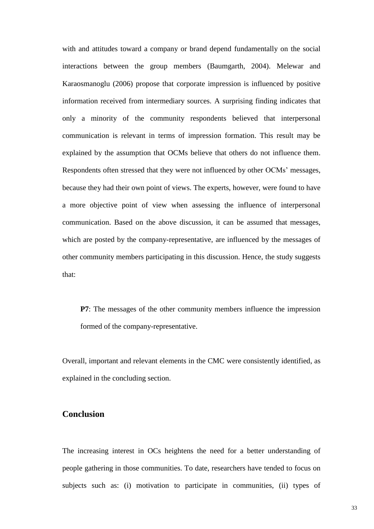with and attitudes toward a company or brand depend fundamentally on the social interactions between the group members (Baumgarth, 2004). Melewar and Karaosmanoglu (2006) propose that corporate impression is influenced by positive information received from intermediary sources. A surprising finding indicates that only a minority of the community respondents believed that interpersonal communication is relevant in terms of impression formation. This result may be explained by the assumption that OCMs believe that others do not influence them. Respondents often stressed that they were not influenced by other OCMs' messages, because they had their own point of views. The experts, however, were found to have a more objective point of view when assessing the influence of interpersonal communication. Based on the above discussion, it can be assumed that messages, which are posted by the company-representative, are influenced by the messages of other community members participating in this discussion. Hence, the study suggests that:

**P7**: The messages of the other community members influence the impression formed of the company-representative.

Overall, important and relevant elements in the CMC were consistently identified, as explained in the concluding section.

## **Conclusion**

The increasing interest in OCs heightens the need for a better understanding of people gathering in those communities. To date, researchers have tended to focus on subjects such as: (i) motivation to participate in communities, (ii) types of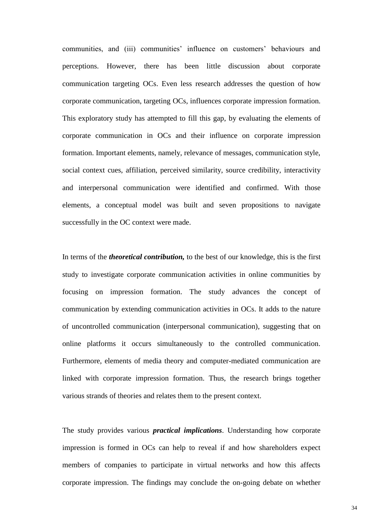communities, and (iii) communities' influence on customers' behaviours and perceptions. However, there has been little discussion about corporate communication targeting OCs. Even less research addresses the question of how corporate communication, targeting OCs, influences corporate impression formation. This exploratory study has attempted to fill this gap, by evaluating the elements of corporate communication in OCs and their influence on corporate impression formation. Important elements, namely, relevance of messages, communication style, social context cues, affiliation, perceived similarity, source credibility, interactivity and interpersonal communication were identified and confirmed. With those elements, a conceptual model was built and seven propositions to navigate successfully in the OC context were made.

In terms of the *theoretical contribution,* to the best of our knowledge, this is the first study to investigate corporate communication activities in online communities by focusing on impression formation. The study advances the concept of communication by extending communication activities in OCs. It adds to the nature of uncontrolled communication (interpersonal communication), suggesting that on online platforms it occurs simultaneously to the controlled communication. Furthermore, elements of media theory and computer-mediated communication are linked with corporate impression formation. Thus, the research brings together various strands of theories and relates them to the present context.

The study provides various *practical implications*. Understanding how corporate impression is formed in OCs can help to reveal if and how shareholders expect members of companies to participate in virtual networks and how this affects corporate impression. The findings may conclude the on-going debate on whether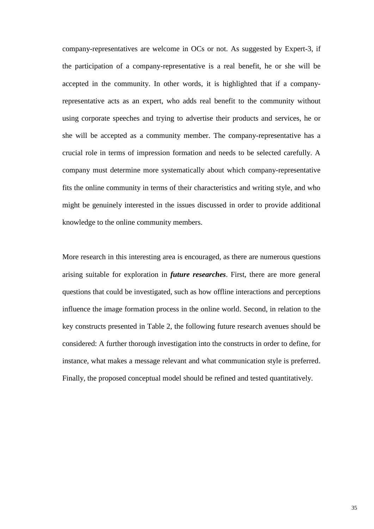company-representatives are welcome in OCs or not. As suggested by Expert-3, if the participation of a company-representative is a real benefit, he or she will be accepted in the community. In other words, it is highlighted that if a companyrepresentative acts as an expert, who adds real benefit to the community without using corporate speeches and trying to advertise their products and services, he or she will be accepted as a community member. The company-representative has a crucial role in terms of impression formation and needs to be selected carefully. A company must determine more systematically about which company-representative fits the online community in terms of their characteristics and writing style, and who might be genuinely interested in the issues discussed in order to provide additional knowledge to the online community members.

More research in this interesting area is encouraged, as there are numerous questions arising suitable for exploration in *future researches*. First, there are more general questions that could be investigated, such as how offline interactions and perceptions influence the image formation process in the online world. Second, in relation to the key constructs presented in Table 2, the following future research avenues should be considered: A further thorough investigation into the constructs in order to define, for instance, what makes a message relevant and what communication style is preferred. Finally, the proposed conceptual model should be refined and tested quantitatively.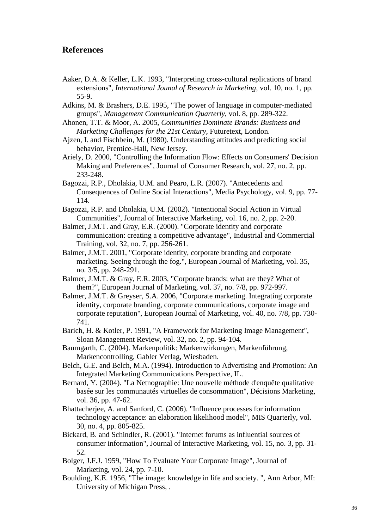## **References**

- Aaker, D.A. & Keller, L.K. 1993, "Interpreting cross-cultural replications of brand extensions", *International Jounal of Research in Marketing,* vol. 10, no. 1, pp. 55-9.
- Adkins, M. & Brashers, D.E. 1995, "The power of language in computer-mediated groups", *Management Communication Quarterly,* vol. 8, pp. 289-322.
- Ahonen, T.T. & Moor, A. 2005, *Communities Dominate Brands: Business and Marketing Challenges for the 21st Century,* Futuretext, London.
- Ajzen, I. and Fischbein, M. (1980). Understanding attitudes and predicting social behavior, Prentice-Hall, New Jersey.
- Ariely, D. 2000, "Controlling the Information Flow: Effects on Consumers' Decision Making and Preferences", Journal of Consumer Research, vol. 27, no. 2, pp. 233-248.
- Bagozzi, R.P., Dholakia, U.M. and Pearo, L.R. (2007). "Antecedents and Consequences of Online Social Interactions", Media Psychology, vol. 9, pp. 77- 114.
- Bagozzi, R.P. and Dholakia, U.M. (2002). "Intentional Social Action in Virtual Communities", Journal of Interactive Marketing, vol. 16, no. 2, pp. 2-20.
- Balmer, J.M.T. and Gray, E.R. (2000). "Corporate identity and corporate communication: creating a competitive advantage", Industrial and Commercial Training, vol. 32, no. 7, pp. 256-261.
- Balmer, J.M.T. 2001, "Corporate identity, corporate branding and corporate marketing. Seeing through the fog.", European Journal of Marketing, vol. 35, no. 3/5, pp. 248-291.
- Balmer, J.M.T. & Gray, E.R. 2003, "Corporate brands: what are they? What of them?", European Journal of Marketing, vol. 37, no. 7/8, pp. 972-997.
- Balmer, J.M.T. & Greyser, S.A. 2006, "Corporate marketing. Integrating corporate identity, corporate branding, corporate communications, corporate image and corporate reputation", European Journal of Marketing, vol. 40, no. 7/8, pp. 730- 741.
- Barich, H. & Kotler, P. 1991, "A Framework for Marketing Image Management", Sloan Management Review, vol. 32, no. 2, pp. 94-104.
- Baumgarth, C. (2004). Markenpolitik: Markenwirkungen, Markenführung, Markencontrolling, Gabler Verlag, Wiesbaden.
- Belch, G.E. and Belch, M.A. (1994). Introduction to Advertising and Promotion: An Integrated Marketing Communications Perspective, IL.
- Bernard, Y. (2004). "La Netnographie: Une nouvelle méthode d'enquête qualitative basée sur les communautés virtuelles de consommation", Décisions Marketing, vol. 36, pp. 47-62.
- Bhattacherjee, A. and Sanford, C. (2006). "Influence processes for information technology acceptance: an elaboration likelihood model", MIS Quarterly, vol. 30, no. 4, pp. 805-825.
- Bickard, B. and Schindler, R. (2001). "Internet forums as influential sources of consumer information", Journal of Interactive Marketing, vol. 15, no. 3, pp. 31- 52.
- Bolger, J.F.J. 1959, "How To Evaluate Your Corporate Image", Journal of Marketing, vol. 24, pp. 7-10.
- Boulding, K.E. 1956, "The image: knowledge in life and society. ", Ann Arbor, MI: University of Michigan Press, .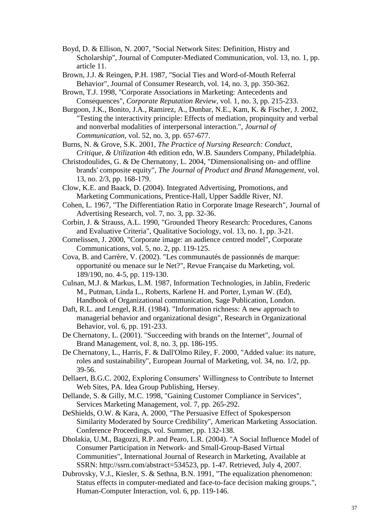- Boyd, D. & Ellison, N. 2007, "Social Network Sites: Definition, Histry and Scholarship", Journal of Computer-Mediated Communication, vol. 13, no. 1, pp. article 11.
- Brown, J.J. & Reingen, P.H. 1987, "Social Ties and Word-of-Mouth Referral Behavior", Journal of Consumer Research, vol. 14, no. 3, pp. 350-362.
- Brown, T.J. 1998, "Corporate Associations in Marketing: Antecedents and Consequences", *Corporate Reputation Review,* vol. 1, no. 3, pp. 215-233.
- Burgoon, J.K., Bonito, J.A., Ramirez, A., Dunbar, N.E., Kam, K. & Fischer, J. 2002, "Testing the interactivity principle: Effects of mediation, propinquity and verbal and nonverbal modalities of interpersonal interaction.", *Journal of Communication,* vol. 52, no. 3, pp. 657-677.

Burns, N. & Grove, S.K. 2001, *The Practice of Nursing Research: Conduct, Critique, & Utilization* 4th edition edn, W.B. Saunders Company, Philadelphia.

- Christodoulides, G. & De Chernatony, L. 2004, "Dimensionalising on- and offline brands' composite equity", *The Journal of Product and Brand Management,* vol. 13, no. 2/3, pp. 168-179.
- Clow, K.E. and Baack, D. (2004). Integrated Advertising, Promotions, and Marketing Communications, Prentice-Hall, Upper Saddle River, NJ.
- Cohen, L. 1967, "The Differentiation Ratio in Corporate Image Research", Journal of Advertising Research, vol. 7, no. 3, pp. 32-36.
- Corbin, J. & Strauss, A.L. 1990, "Grounded Theory Research: Procedures, Canons and Evaluative Criteria", Qualitative Sociology, vol. 13, no. 1, pp. 3-21.
- Cornelissen, J. 2000, "Corporate image: an audience centred model", Corporate Communications, vol. 5, no. 2, pp. 119-125.
- Cova, B. and Carrère, V. (2002). "Les communautés de passionnés de marque: opportunité ou menace sur le Net?", Revue Française du Marketing, vol. 189/190, no. 4-5, pp. 119-130.
- Culnan, M.J. & Markus, L.M. 1987, Information Technologies, in Jablin, Frederic M., Putman, Linda L., Roberts, Karlene H. and Porter, Lyman W. (Ed), Handbook of Organizational communication, Sage Publication, London.
- Daft, R.L. and Lengel, R.H. (1984). "Information richness: A new approach to managerial behavior and organizational design", Research in Organizational Behavior, vol. 6, pp. 191-233.
- De Chernatony, L. (2001). "Succeeding with brands on the Internet", Journal of Brand Management, vol. 8, no. 3, pp. 186-195.
- De Chernatony, L., Harris, F. & Dall'Olmo Riley, F. 2000, "Added value: its nature, roles and sustainability", European Journal of Marketing, vol. 34, no. 1/2, pp. 39-56.
- Dellaert, B.G.C. 2002, Exploring Consumers' Willingness to Contribute to Internet Web Sites, PA. Idea Group Publishing, Hersey.
- Dellande, S. & Gilly, M.C. 1998, "Gaining Customer Compliance in Services", Services Marketing Management, vol. 7, pp. 265-292.
- DeShields, O.W. & Kara, A. 2000, "The Persuasive Effect of Spokesperson Similarity Moderated by Source Credibility", American Marketing Association. Conference Proceedings, vol. Summer, pp. 132-138.
- Dholakia, U.M., Bagozzi, R.P. and Pearo, L.R. (2004). "A Social Influence Model of Consumer Participation in Network- and Small-Group-Based Virtual Communities", International Journal of Research in Marketing, Available at SSRN: [http://ssrn.com/abstract=534523,](http://ssrn.com/abstract=534523) pp. 1-47. Retrieved, July 4, 2007.
- Dubrovsky, V.J., Kiesler, S. & Sethna, B.N. 1991, "The equalization phenomenon: Status effects in computer-mediated and face-to-face decision making groups.", Human-Computer Interaction, vol. 6, pp. 119-146.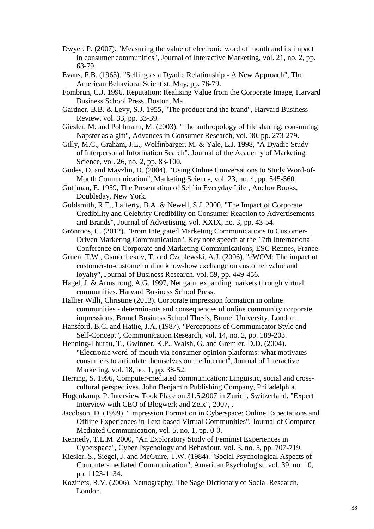- Dwyer, P. (2007). "Measuring the value of electronic word of mouth and its impact in consumer communities", Journal of Interactive Marketing, vol. 21, no. 2, pp. 63-79.
- Evans, F.B. (1963). "Selling as a Dyadic Relationship A New Approach", The American Behavioral Scientist, May, pp. 76-79.
- Fombrun, C.J. 1996, Reputation: Realising Value from the Corporate Image, Harvard Business School Press, Boston, Ma.
- Gardner, B.B. & Levy, S.J. 1955, "The product and the brand", Harvard Business Review, vol. 33, pp. 33-39.
- Giesler, M. and Pohlmann, M. (2003). "The anthropology of file sharing: consuming Napster as a gift", Advances in Consumer Research, vol. 30, pp. 273-279.
- Gilly, M.C., Graham, J.L., Wolfinbarger, M. & Yale, L.J. 1998, "A Dyadic Study of Interpersonal Information Search", Journal of the Academy of Marketing Science, vol. 26, no. 2, pp. 83-100.
- Godes, D. and Mayzlin, D. (2004). "Using Online Conversations to Study Word-of-Mouth Communication", Marketing Science, vol. 23, no. 4, pp. 545-560.
- Goffman, E. 1959, The Presentation of Self in Everyday Life , Anchor Books, Doubleday, New York.
- Goldsmith, R.E., Lafferty, B.A. & Newell, S.J. 2000, "The Impact of Corporate Credibility and Celebrity Credibility on Consumer Reaction to Advertisements and Brands", Journal of Advertising, vol. XXIX, no. 3, pp. 43-54.
- Grönroos, C. (2012). "From Integrated Marketing Communications to Customer-Driven Marketing Communication", Key note speech at the 17th International Conference on Corporate and Marketing Communications, ESC Rennes, France.
- Gruen, T.W., Osmonbekov, T. and Czaplewski, A.J. (2006). "eWOM: The impact of customer-to-customer online know-how exchange on customer value and loyalty", Journal of Business Research, vol. 59, pp. 449-456.
- Hagel, J. & Armstrong, A.G. 1997, Net gain: expanding markets through virtual communities. Harvard Business School Press.
- Hallier Willi, Christine (2013). Corporate impression formation in online communities - determinants and consequences of online community corporate impressions. Brunel Business School Thesis, Brunel University, London.
- Hansford, B.C. and Hattie, J.A. (1987). "Perceptions of Communicator Style and Self-Concept", Communication Research, vol. 14, no. 2, pp. 189-203.
- Henning-Thurau, T., Gwinner, K.P., Walsh, G. and Gremler, D.D. (2004). "Electronic word-of-mouth via consumer-opinion platforms: what motivates consumers to articulate themselves on the Internet", Journal of Interactive Marketing, vol. 18, no. 1, pp. 38-52.
- Herring, S. 1996, Computer-mediated communication: Linguistic, social and crosscultural perspectives. John Benjamin Publishing Company, Philadelphia.
- Hogenkamp, P. Interview Took Place on 31.5.2007 in Zurich, Switzerland, "Expert Interview with CEO of Blogwerk and Zeix", 2007, .
- Jacobson, D. (1999). "Impression Formation in Cyberspace: Online Expectations and Offline Experiences in Text-based Virtual Communities", Journal of Computer-Mediated Communication, vol. 5, no. 1, pp. 0-0.
- Kennedy, T.L.M. 2000, "An Exploratory Study of Feminist Experiences in Cyberspace", Cyber Psychology and Behaviour, vol. 3, no. 5, pp. 707-719.
- Kiesler, S., Siegel, J. and McGuire, T.W. (1984). "Social Psychological Aspects of Computer-mediated Communication", American Psychologist, vol. 39, no. 10, pp. 1123-1134.
- Kozinets, R.V. (2006). Netnography, The Sage Dictionary of Social Research, London.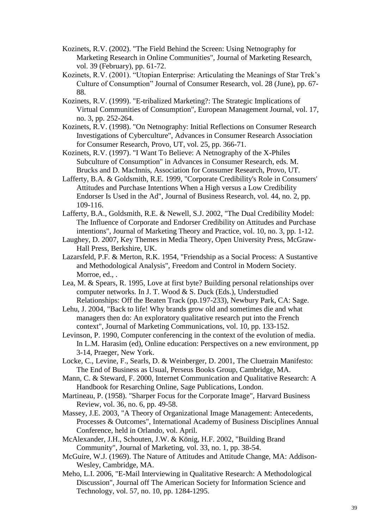- Kozinets, R.V. (2002). "The Field Behind the Screen: Using Netnography for Marketing Research in Online Communities", Journal of Marketing Research, vol. 39 (February), pp. 61-72.
- Kozinets, R.V. (2001). "Utopian Enterprise: Articulating the Meanings of Star Trek's Culture of Consumption" Journal of Consumer Research, vol. 28 (June), pp. 67- 88.
- Kozinets, R.V. (1999). "E-tribalized Marketing?: The Strategic Implications of Virtual Communities of Consumption", European Management Journal, vol. 17, no. 3, pp. 252-264.
- Kozinets, R.V. (1998). "On Netnography: Initial Reflections on Consumer Research Investigations of Cyberculture", Advances in Consumer Research Association for Consumer Research, Provo, UT, vol. 25, pp. 366-71.
- Kozinets, R.V. (1997). "I Want To Believe: A Netnography of the X-Philes Subculture of Consumption" in Advances in Consumer Research, eds. M. Brucks and D. MacInnis, Association for Consumer Research, Provo, UT.
- Lafferty, B.A. & Goldsmith, R.E. 1999, "Corporate Credibility's Role in Consumers' Attitudes and Purchase Intentions When a High versus a Low Credibility Endorser Is Used in the Ad", Journal of Business Research, vol. 44, no. 2, pp. 109-116.
- Lafferty, B.A., Goldsmith, R.E. & Newell, S.J. 2002, "The Dual Credibility Model: The Influence of Corporate and Endorser Credibility on Attitudes and Purchase intentions", Journal of Marketing Theory and Practice, vol. 10, no. 3, pp. 1-12.
- Laughey, D. 2007, Key Themes in Media Theory, Open University Press, McGraw-Hall Press, Berkshire, UK.
- Lazarsfeld, P.F. & Merton, R.K. 1954, "Friendship as a Social Process: A Sustantive and Methodological Analysis", Freedom and Control in Modern Society. Morroe, ed., .
- Lea, M. & Spears, R. 1995, Love at first byte? Building personal relationships over computer networks. In J. T. Wood & S. Duck (Eds.), Understudied Relationships: Off the Beaten Track (pp.197-233), Newbury Park, CA: Sage.
- Lehu, J. 2004, "Back to life! Why brands grow old and sometimes die and what managers then do: An exploratory qualitative research put into the French context", Journal of Marketing Communications, vol. 10, pp. 133-152.
- Levinson, P. 1990, Computer conferencing in the context of the evolution of media. In L.M. Harasim (ed), Online education: Perspectives on a new environment, pp 3-14, Praeger, New York.
- Locke, C., Levine, F., Searls, D. & Weinberger, D. 2001, The Cluetrain Manifesto: The End of Business as Usual, Perseus Books Group, Cambridge, MA.
- Mann, C. & Steward, F. 2000, Internet Communication and Qualitative Research: A Handbook for Resarching Online, Sage Publications, London.
- Martineau, P. (1958). "Sharper Focus for the Corporate Image", Harvard Business Review, vol. 36, no. 6, pp. 49-58.
- Massey, J.E. 2003, "A Theory of Organizational Image Management: Antecedents, Processes & Outcomes", International Academy of Business Disciplines Annual Conference, held in Orlando, vol. April.
- McAlexander, J.H., Schouten, J.W. & König, H.F. 2002, "Building Brand Community", Journal of Marketing, vol. 33, no. 1, pp. 38-54.
- McGuire, W.J. (1969). The Nature of Attitudes and Attitude Change, MA: Addison-Wesley, Cambridge, MA.
- Meho, L.I. 2006, "E-Mail Interviewing in Qualitative Research: A Methodological Discussion", Journal off The American Society for Information Science and Technology, vol. 57, no. 10, pp. 1284-1295.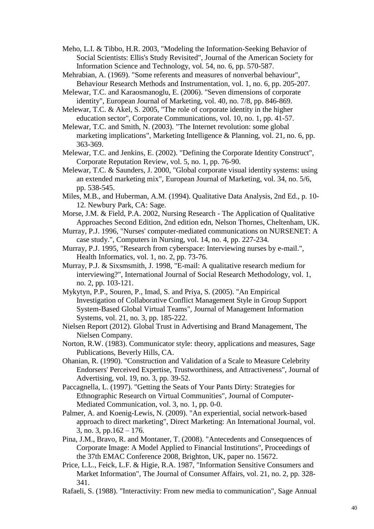- Meho, L.I. & Tibbo, H.R. 2003, "Modeling the Information-Seeking Behavior of Social Scientists: Ellis's Study Revisited", Journal of the American Society for Information Science and Technology, vol. 54, no. 6, pp. 570-587.
- Mehrabian, A. (1969). "Some referents and measures of nonverbal behaviour", Behaviour Research Methods and Instrumentation, vol. 1, no. 6, pp. 205-207.
- Melewar, T.C. and Karaosmanoglu, E. (2006). "Seven dimensions of corporate identity", European Journal of Marketing, vol. 40, no. 7/8, pp. 846-869.
- Melewar, T.C. & Akel, S. 2005, "The role of corporate identity in the higher education sector", Corporate Communications, vol. 10, no. 1, pp. 41-57.
- Melewar, T.C. and Smith, N. (2003). "The Internet revolution: some global marketing implications", Marketing Intelligence & Planning, vol. 21, no. 6, pp. 363-369.
- Melewar, T.C. and Jenkins, E. (2002). "Defining the Corporate Identity Construct", Corporate Reputation Review, vol. 5, no. 1, pp. 76-90.
- Melewar, T.C. & Saunders, J. 2000, "Global corporate visual identity systems: using an extended marketing mix", European Journal of Marketing, vol. 34, no. 5/6, pp. 538-545.
- Miles, M.B., and Huberman, A.M. (1994). Qualitative Data Analysis, 2nd Ed., p. 10- 12. Newbury Park, CA: Sage.
- Morse, J.M. & Field, P.A. 2002, Nursing Research The Application of Qualitative Approaches Second Edition, 2nd edition edn, Nelson Thornes, Cheltenham, UK.
- Murray, P.J. 1996, "Nurses' computer-mediated communications on NURSENET: A case study.", Computers in Nursing, vol. 14, no. 4, pp. 227-234.
- Murray, P.J. 1995, "Research from cyberspace: Interviewing nurses by e-mail.", Health Informatics, vol. 1, no. 2, pp. 73-76.
- Murray, P.J. & Sixsmsmith, J. 1998, "E-mail: A qualitative research medium for interviewing?", International Journal of Social Research Methodology, vol. 1, no. 2, pp. 103-121.
- Mykytyn, P.P., Souren, P., Imad, S. and Priya, S. (2005). "An Empirical Investigation of Collaborative Conflict Management Style in Group Support System-Based Global Virtual Teams", Journal of Management Information Systems, vol. 21, no. 3, pp. 185-222.
- Nielsen Report (2012). Global Trust in Advertising and Brand Management, The Nielsen Company.
- Norton, R.W. (1983). Communicator style: theory, applications and measures, Sage Publications, Beverly Hills, CA.
- Ohanian, R. (1990). "Construction and Validation of a Scale to Measure Celebrity Endorsers' Perceived Expertise, Trustworthiness, and Attractiveness", Journal of Advertising, vol. 19, no. 3, pp. 39-52.
- Paccagnella, L. (1997). "Getting the Seats of Your Pants Dirty: Strategies for Ethnographic Research on Virtual Communities", Journal of Computer-Mediated Communication, vol. 3, no. 1, pp. 0-0.
- Palmer, A. and Koenig-Lewis, N. (2009). "An experiential, social network-based approach to direct marketing", Direct Marketing: An International Journal, vol. 3, no. 3, pp.162 – 176.
- Pina, J.M., Bravo, R. and Montaner, T. (2008). "Antecedents and Consequences of Corporate Image: A Model Applied to Financial Institutions", Proceedings of the 37th EMAC Conference 2008, Brighton, UK, paper no. 15672.
- Price, L.L., Feick, L.F. & Higie, R.A. 1987, "Information Sensitive Consumers and Market Information", The Journal of Consumer Affairs, vol. 21, no. 2, pp. 328- 341.
- Rafaeli, S. (1988). "Interactivity: From new media to communication", Sage Annual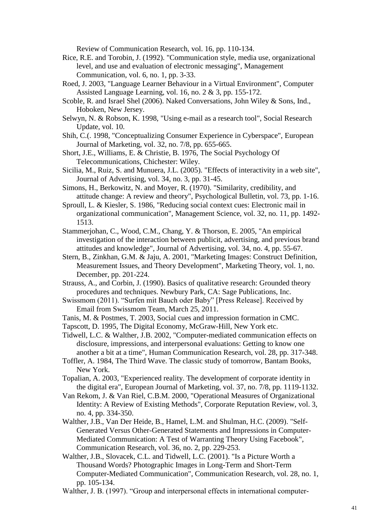Review of Communication Research, vol. 16, pp. 110-134.

- Rice, R.E. and Torobin, J. (1992). "Communication style, media use, organizational level, and use and evaluation of electronic messaging", Management Communication, vol. 6, no. 1, pp. 3-33.
- Roed, J. 2003, "Language Learner Behaviour in a Virtual Environment", Computer Assisted Language Learning, vol. 16, no. 2 & 3, pp. 155-172.
- Scoble, R. and Israel Shel (2006). Naked Conversations, John Wiley & Sons, Ind., Hoboken, New Jersey.
- Selwyn, N. & Robson, K. 1998, "Using e-mail as a research tool", Social Research Update, vol. 10.
- Shih, C.(. 1998, "Conceptualizing Consumer Experience in Cyberspace", European Journal of Marketing, vol. 32, no. 7/8, pp. 655-665.
- Short, J.E., Williams, E. & Christie, B. 1976, The Social Psychology Of Telecommunications, Chichester: Wiley.
- Sicilia, M., Ruiz, S. and Munuera, J.L. (2005). "Effects of interactivity in a web site", Journal of Advertising, vol. 34, no. 3, pp. 31-45.
- Simons, H., Berkowitz, N. and Moyer, R. (1970). "Similarity, credibility, and attitude change: A review and theory", Psychological Bulletin, vol. 73, pp. 1-16.
- Sproull, L. & Kiesler, S. 1986, "Reducing social context cues: Electronic mail in organizational communication", Management Science, vol. 32, no. 11, pp. 1492- 1513.
- Stammerjohan, C., Wood, C.M., Chang, Y. & Thorson, E. 2005, "An empirical investigation of the interaction between publicit, advertising, and previous brand attitudes and knowledge", Journal of Advertising, vol. 34, no. 4, pp. 55-67.
- Stern, B., Zinkhan, G.M. & Jaju, A. 2001, "Marketing Images: Construct Definition, Measurement Issues, and Theory Development", Marketing Theory, vol. 1, no. December, pp. 201-224.
- Strauss, A., and Corbin, J. (1990). Basics of qualitative research: Grounded theory procedures and techniques. Newbury Park, CA: Sage Publications, Inc.
- Swissmom (2011). "Surfen mit Bauch oder Baby" [Press Release]. Received by Email from Swissmom Team, March 25, 2011.
- Tanis, M. & Postmes, T. 2003, Social cues and impression formation in CMC.
- Tapscott, D. 1995, The Digital Economy, McGraw-Hill, New York etc.
- Tidwell, L.C. & Walther, J.B. 2002, "Computer-mediated communication effects on disclosure, impressions, and interpersonal evaluations: Getting to know one another a bit at a time", Human Communication Research, vol. 28, pp. 317-348.
- Toffler, A. 1984, The Third Wave. The classic study of tomorrow, Bantam Books, New York.
- Topalian, A. 2003, "Experienced reality. The development of corporate identity in the digital era", European Journal of Marketing, vol. 37, no. 7/8, pp. 1119-1132.
- Van Rekom, J. & Van Riel, C.B.M. 2000, "Operational Measures of Organizational Identity: A Review of Existing Methods", Corporate Reputation Review, vol. 3, no. 4, pp. 334-350.
- Walther, J.B., Van Der Heide, B., Hamel, L.M. and Shulman, H.C. (2009). "Self-Generated Versus Other-Generated Statements and Impressions in Computer-Mediated Communication: A Test of Warranting Theory Using Facebook", Communication Research, vol. 36, no. 2, pp. 229-253.
- Walther, J.B., Slovacek, C.L. and Tidwell, L.C. (2001). "Is a Picture Worth a Thousand Words? Photographic Images in Long-Term and Short-Term Computer-Mediated Communication", Communication Research, vol. 28, no. 1, pp. 105-134.
- [Walther, J. B. \(1997\). "Group and interpersonal effects in international computer-](http://www.itu.dk/people/khhp/speciale/videnskabelige%20artikler/Walther_1997%20-%20group%20interpersonal%20efftes.pdf)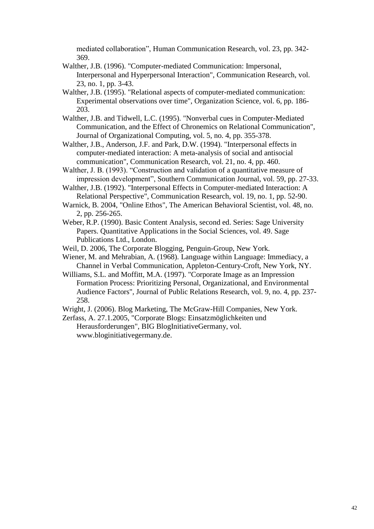[mediated collaboration", Human Communication Research, vol. 23, pp. 342-](http://www.itu.dk/people/khhp/speciale/videnskabelige%20artikler/Walther_1997%20-%20group%20interpersonal%20efftes.pdf) [369.](http://www.itu.dk/people/khhp/speciale/videnskabelige%20artikler/Walther_1997%20-%20group%20interpersonal%20efftes.pdf)

- Walther, J.B. (1996). "Computer-mediated Communication: Impersonal, Interpersonal and Hyperpersonal Interaction", Communication Research, vol. 23, no. 1, pp. 3-43.
- Walther, J.B. (1995). "Relational aspects of computer-mediated communication: Experimental observations over time", Organization Science, vol. 6, pp. 186- 203.
- Walther, J.B. and Tidwell, L.C. (1995). "Nonverbal cues in Computer-Mediated Communication, and the Effect of Chronemics on Relational Communication", Journal of Organizational Computing, vol. 5, no. 4, pp. 355-378.
- Walther, J.B., Anderson, J.F. and Park, D.W. (1994). "Interpersonal effects in computer-mediated interaction: A meta-analysis of social and antisocial communication", Communication Research, vol. 21, no. 4, pp. 460.
- Walther, J. B. (1993). "Construction and validation of a quantitative measure of impression development", Southern Communication Journal, vol. 59, pp. 27-33.
- Walther, J.B. (1992). "Interpersonal Effects in Computer-mediated Interaction: A Relational Perspective", Communication Research, vol. 19, no. 1, pp. 52-90.
- Warnick, B. 2004, "Online Ethos", The American Behavioral Scientist, vol. 48, no. 2, pp. 256-265.
- Weber, R.P. (1990). Basic Content Analysis, second ed. Series: Sage University Papers. Quantitative Applications in the Social Sciences, vol. 49. Sage Publications Ltd., London.
- Weil, D. 2006, The Corporate Blogging, Penguin-Group, New York.
- Wiener, M. and Mehrabian, A. (1968). Language within Language: Immediacy, a Channel in Verbal Communication, Appleton-Century-Croft, New York, NY.
- Williams, S.L. and Moffitt, M.A. (1997). "Corporate Image as an Impression Formation Process: Prioritizing Personal, Organizational, and Environmental Audience Factors", Journal of Public Relations Research, vol. 9, no. 4, pp. 237- 258.
- Wright, J. (2006). Blog Marketing, The McGraw-Hill Companies, New York.
- Zerfass, A. 27.1.2005, "Corporate Blogs: Einsatzmöglichkeiten und Herausforderungen", BIG BlogInitiativeGermany, vol. [www.bloginitiativegermany.de.](http://www.bloginitiativegermany.de/)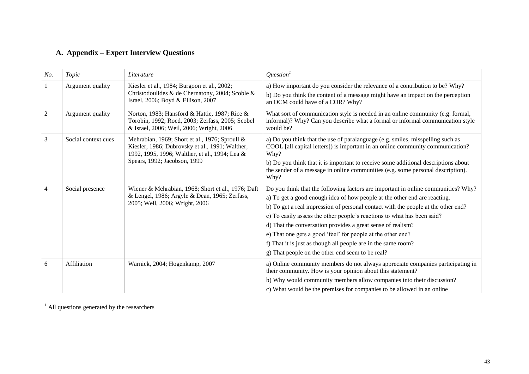## **A. Appendix – Expert Interview Questions**

| No.                      | Topic            | Literature                                                                                                                                          | Question <sup>1</sup>                                                                                                                                                                                                                                                                                                                                                                                                                                                                                                                                                             |
|--------------------------|------------------|-----------------------------------------------------------------------------------------------------------------------------------------------------|-----------------------------------------------------------------------------------------------------------------------------------------------------------------------------------------------------------------------------------------------------------------------------------------------------------------------------------------------------------------------------------------------------------------------------------------------------------------------------------------------------------------------------------------------------------------------------------|
| 1                        | Argument quality | Kiesler et al., 1984; Burgoon et al., 2002;<br>Christodoulides & de Chernatony, 2004; Scoble &<br>Israel, 2006; Boyd & Ellison, 2007                | a) How important do you consider the relevance of a contribution to be? Why?<br>b) Do you think the content of a message might have an impact on the perception<br>an OCM could have of a COR? Why?                                                                                                                                                                                                                                                                                                                                                                               |
| 2                        | Argument quality | Norton, 1983; Hansford & Hattie, 1987; Rice &<br>Torobin, 1992; Roed, 2003; Zerfass, 2005; Scobel<br>& Israel, 2006; Weil, 2006; Wright, 2006       | What sort of communication style is needed in an online community (e.g. formal,<br>informal)? Why? Can you describe what a formal or informal communication style<br>would be?                                                                                                                                                                                                                                                                                                                                                                                                    |
| 3<br>Social context cues |                  | Mehrabian, 1969; Short et al., 1976; Sproull &<br>Kiesler, 1986; Dubrovsky et al., 1991; Walther,<br>1992, 1995, 1996; Walther, et al., 1994; Lea & | a) Do you think that the use of paralanguage (e.g. smiles, misspelling such as<br>COOL [all capital letters]) is important in an online community communication?<br>Why?                                                                                                                                                                                                                                                                                                                                                                                                          |
|                          |                  | Spears, 1992; Jacobson, 1999                                                                                                                        | b) Do you think that it is important to receive some additional descriptions about<br>the sender of a message in online communities (e.g. some personal description).<br>Why?                                                                                                                                                                                                                                                                                                                                                                                                     |
| $\overline{4}$           | Social presence  | Wiener & Mehrabian, 1968; Short et al., 1976; Daft<br>& Lengel, 1986; Argyle & Dean, 1965; Zerfass,<br>2005; Weil, 2006; Wright, 2006               | Do you think that the following factors are important in online communities? Why?<br>a) To get a good enough idea of how people at the other end are reacting.<br>b) To get a real impression of personal contact with the people at the other end?<br>c) To easily assess the other people's reactions to what has been said?<br>d) That the conversation provides a great sense of realism?<br>e) That one gets a good 'feel' for people at the other end?<br>f) That it is just as though all people are in the same room?<br>g) That people on the other end seem to be real? |
| 6                        | Affiliation      | Warnick, 2004; Hogenkamp, 2007                                                                                                                      | a) Online community members do not always appreciate companies participating in<br>their community. How is your opinion about this statement?<br>b) Why would community members allow companies into their discussion?<br>c) What would be the premises for companies to be allowed in an online                                                                                                                                                                                                                                                                                  |

 $1$  All questions generated by the researchers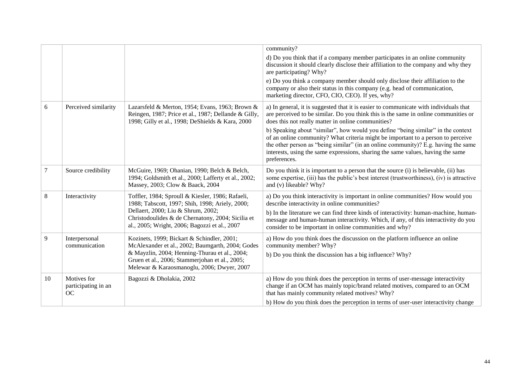|                |                                                 |                                                                                                                                                                                                                                                 | community?                                                                                                                                                                                                                                                                                                                                                                |
|----------------|-------------------------------------------------|-------------------------------------------------------------------------------------------------------------------------------------------------------------------------------------------------------------------------------------------------|---------------------------------------------------------------------------------------------------------------------------------------------------------------------------------------------------------------------------------------------------------------------------------------------------------------------------------------------------------------------------|
|                |                                                 |                                                                                                                                                                                                                                                 | d) Do you think that if a company member participates in an online community<br>discussion it should clearly disclose their affiliation to the company and why they<br>are participating? Why?                                                                                                                                                                            |
|                |                                                 |                                                                                                                                                                                                                                                 | e) Do you think a company member should only disclose their affiliation to the<br>company or also their status in this company (e.g. head of communication,<br>marketing director, CFO, CIO, CEO). If yes, why?                                                                                                                                                           |
| 6              | Perceived similarity                            | Lazarsfeld & Merton, 1954; Evans, 1963; Brown &<br>Reingen, 1987; Price et al., 1987; Dellande & Gilly,<br>1998; Gilly et al., 1998; DeShields & Kara, 2000                                                                                     | a) In general, it is suggested that it is easier to communicate with individuals that<br>are perceived to be similar. Do you think this is the same in online communities or<br>does this not really matter in online communities?                                                                                                                                        |
|                |                                                 |                                                                                                                                                                                                                                                 | b) Speaking about "similar", how would you define "being similar" in the context<br>of an online community? What criteria might be important to a person to perceive<br>the other person as "being similar" (in an online community)? E.g. having the same<br>interests, using the same expressions, sharing the same values, having the same<br>preferences.             |
| $\overline{7}$ | Source credibility                              | McGuire, 1969; Ohanian, 1990; Belch & Belch,<br>1994; Goldsmith et al., 2000; Lafferty et al., 2002;<br>Massey, 2003; Clow & Baack, 2004                                                                                                        | Do you think it is important to a person that the source (i) is believable, (ii) has<br>some expertise, (iii) has the public's best interest (trustworthiness), (iv) is attractive<br>and (v) likeable? Why?                                                                                                                                                              |
| 8              | Interactivity                                   | Toffler, 1984; Sproull & Kiesler, 1986; Rafaeli,<br>1988; Tabscott, 1997; Shih, 1998; Ariely, 2000;<br>Dellaert, 2000; Liu & Shrum, 2002;<br>Christodoulides & de Chernatony, 2004; Sicilia et<br>al., 2005; Wright, 2006; Bagozzi et al., 2007 | a) Do you think interactivity is important in online communities? How would you<br>describe interactivity in online communities?<br>b) In the literature we can find three kinds of interactivity: human-machine, human-<br>message and human-human interactivity. Which, if any, of this interactivity do you<br>consider to be important in online communities and why? |
| 9              | Interpersonal<br>communication                  | Kozinets, 1999; Bickart & Schindler, 2001;<br>McAlexander et al., 2002; Baumgarth, 2004; Godes<br>& Mayzlin, 2004; Henning-Thurau et al., 2004;<br>Gruen et al., 2006; Stammerjohan et al., 2005;<br>Melewar & Karaosmanoglu, 2006; Dwyer, 2007 | a) How do you think does the discussion on the platform influence an online<br>community member? Why?<br>b) Do you think the discussion has a big influence? Why?                                                                                                                                                                                                         |
| 10             | Motives for<br>participating in an<br><b>OC</b> | Bagozzi & Dholakia, 2002                                                                                                                                                                                                                        | a) How do you think does the perception in terms of user-message interactivity<br>change if an OCM has mainly topic/brand related motives, compared to an OCM<br>that has mainly community related motives? Why?<br>b) How do you think does the perception in terms of user-user interactivity change                                                                    |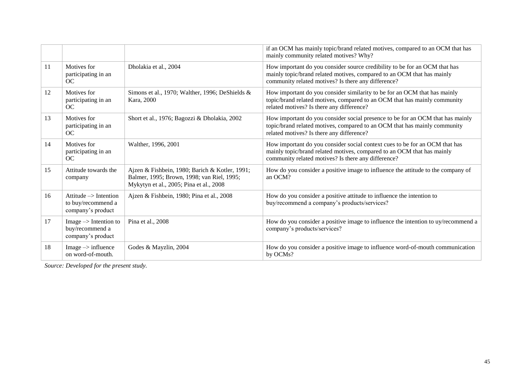|    |                                                                             |                                                                                                                                         | if an OCM has mainly topic/brand related motives, compared to an OCM that has<br>mainly community related motives? Why?                                                                                      |
|----|-----------------------------------------------------------------------------|-----------------------------------------------------------------------------------------------------------------------------------------|--------------------------------------------------------------------------------------------------------------------------------------------------------------------------------------------------------------|
| 11 | Motives for<br>participating in an<br>OC                                    | Dholakia et al., 2004                                                                                                                   | How important do you consider source credibility to be for an OCM that has<br>mainly topic/brand related motives, compared to an OCM that has mainly<br>community related motives? Is there any difference?  |
| 12 | Motives for<br>participating in an<br>OC                                    | Simons et al., 1970; Walther, 1996; DeShields &<br>Kara, 2000                                                                           | How important do you consider similarity to be for an OCM that has mainly<br>topic/brand related motives, compared to an OCM that has mainly community<br>related motives? Is there any difference?          |
| 13 | Motives for<br>participating in an<br>OC                                    | Short et al., 1976; Bagozzi & Dholakia, 2002                                                                                            | How important do you consider social presence to be for an OCM that has mainly<br>topic/brand related motives, compared to an OCM that has mainly community<br>related motives? Is there any difference?     |
| 14 | Motives for<br>participating in an<br>OC                                    | Walther, 1996, 2001                                                                                                                     | How important do you consider social context cues to be for an OCM that has<br>mainly topic/brand related motives, compared to an OCM that has mainly<br>community related motives? Is there any difference? |
| 15 | Attitude towards the<br>company                                             | Ajzen & Fishbein, 1980; Barich & Kotler, 1991;<br>Balmer, 1995; Brown, 1998; van Riel, 1995;<br>Mykytyn et al., 2005; Pina et al., 2008 | How do you consider a positive image to influence the attitude to the company of<br>an OCM?                                                                                                                  |
| 16 | Attitude $\rightarrow$ Intention<br>to buy/recommend a<br>company's product | Ajzen & Fishbein, 1980; Pina et al., 2008                                                                                               | How do you consider a positive attitude to influence the intention to<br>buy/recommend a company's products/services?                                                                                        |
| 17 | Image $\rightarrow$ Intention to<br>buy/recommend a<br>company's product    | Pina et al., 2008                                                                                                                       | How do you consider a positive image to influence the intention to uy/recommend a<br>company's products/services?                                                                                            |
| 18 | Image $\rightarrow$ influence<br>on word-of-mouth.                          | Godes & Mayzlin, 2004                                                                                                                   | How do you consider a positive image to influence word-of-mouth communication<br>by OCMs?                                                                                                                    |

*Source: Developed for the present study.*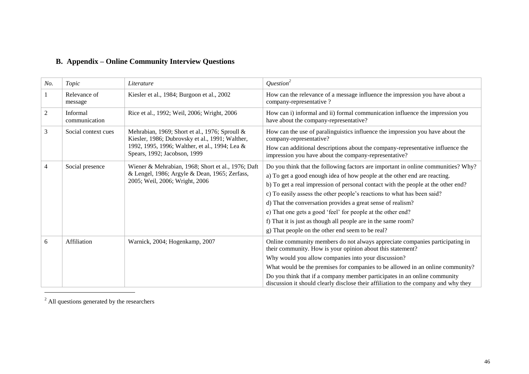|  | <b>B.</b> Appendix – Online Community Interview Questions |  |
|--|-----------------------------------------------------------|--|
|  |                                                           |  |

| No. | Topic                     | Literature                                                                                                                                                                          | Question <sup>2</sup>                                                                                                                                                                                                                                                                                                                                                                                                                                                                                                                                                             |
|-----|---------------------------|-------------------------------------------------------------------------------------------------------------------------------------------------------------------------------------|-----------------------------------------------------------------------------------------------------------------------------------------------------------------------------------------------------------------------------------------------------------------------------------------------------------------------------------------------------------------------------------------------------------------------------------------------------------------------------------------------------------------------------------------------------------------------------------|
|     | Relevance of<br>message   | Kiesler et al., 1984; Burgoon et al., 2002                                                                                                                                          | How can the relevance of a message influence the impression you have about a<br>company-representative?                                                                                                                                                                                                                                                                                                                                                                                                                                                                           |
| 2   | Informal<br>communication | Rice et al., 1992; Weil, 2006; Wright, 2006                                                                                                                                         | How can i) informal and ii) formal communication influence the impression you<br>have about the company-representative?                                                                                                                                                                                                                                                                                                                                                                                                                                                           |
| 3   | Social context cues       | Mehrabian, 1969; Short et al., 1976; Sproull &<br>Kiesler, 1986; Dubrovsky et al., 1991; Walther,<br>1992, 1995, 1996; Walther, et al., 1994; Lea &<br>Spears, 1992; Jacobson, 1999 | How can the use of paralinguistics influence the impression you have about the<br>company-representative?<br>How can additional descriptions about the company-representative influence the<br>impression you have about the company-representative?                                                                                                                                                                                                                                                                                                                              |
| 4   | Social presence           | Wiener & Mehrabian, 1968; Short et al., 1976; Daft<br>& Lengel, 1986; Argyle & Dean, 1965; Zerfass,<br>2005; Weil, 2006; Wright, 2006                                               | Do you think that the following factors are important in online communities? Why?<br>a) To get a good enough idea of how people at the other end are reacting.<br>b) To get a real impression of personal contact with the people at the other end?<br>c) To easily assess the other people's reactions to what has been said?<br>d) That the conversation provides a great sense of realism?<br>e) That one gets a good 'feel' for people at the other end?<br>f) That it is just as though all people are in the same room?<br>g) That people on the other end seem to be real? |
| 6   | Affiliation               | Warnick, 2004; Hogenkamp, 2007                                                                                                                                                      | Online community members do not always appreciate companies participating in<br>their community. How is your opinion about this statement?<br>Why would you allow companies into your discussion?<br>What would be the premises for companies to be allowed in an online community?<br>Do you think that if a company member participates in an online community<br>discussion it should clearly disclose their affiliation to the company and why they                                                                                                                           |

<sup>2</sup> All questions generated by the researchers

 $\overline{a}$